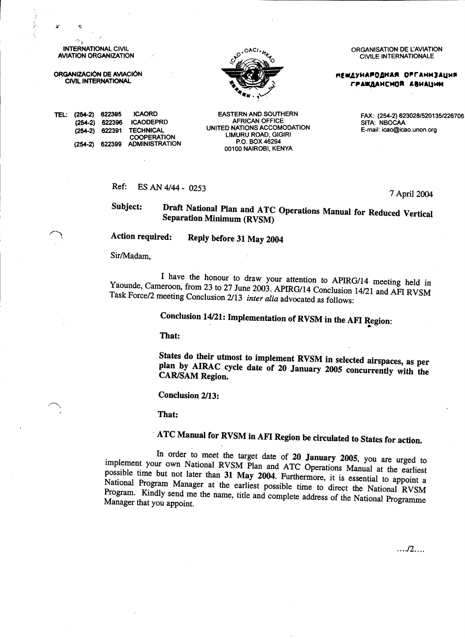**INTERNATIONAL CIVIL AVIATION ORGANIZATION** 

ORGANIZACIÓN DE AVIACIÓN **CIVIL INTERNATIONAL** 



**ORGANISATION DE L'AVIATION CIVILE INTERNATIONALE** 

**МЕШДУНАРОДНАЯ ОРГАНИЗАЦИЯ** ГРАЖДАНСМОЙ АВИАЦИИ

E-mail: icao@icao.unon.org

**ICAORD** TEL: (254-2) 622395 622396 **ICAODEPRD**  $(254-2)$ **TECHNICAL**  $(254 - 2)$ 622391 **COOPERATION** 622399 **ADMINISTRATION**  $(254-2)$ 

**EASTERN AND SOUTHERN AFRICAN OFFICE** UNITED NATIONS ACCOMODATION **LIMURU ROAD, GIGIRI** P.O. BOX 46294 00100 NAIROBI, KENYA

#### Ref: ES AN 4/44 - 0253

7 April 2004

FAX: (254-2) 623028/520135/226706<br>SITA: NBOCAA

Draft National Plan and ATC Operations Manual for Reduced Vertical Subject: **Separation Minimum (RVSM)** 

**Action required:** Reply before 31 May 2004

Sir/Madam.

I have the honour to draw your attention to APIRG/14 meeting held in Yaounde, Cameroon, from 23 to 27 June 2003. APIRG/14 Conclusion 14/21 and AFI RVSM Task Force/2 meeting Conclusion 2/13 inter alia advocated as follows:

Conclusion 14/21: Implementation of RVSM in the AFI Region:

That:

States do their utmost to implement RVSM in selected airspaces, as per plan by AIRAC cycle date of 20 January 2005 concurrently with the **CAR/SAM Region.** 

**Conclusion 2/13:** 

That:

ATC Manual for RVSM in AFI Region be circulated to States for action.

In order to meet the target date of 20 January 2005, you are urged to implement your own National RVSM Plan and ATC Operations Manual at the earliest possible time but not later than 31 May 2004. Furthermore, it is essential to appoint a National Program Manager at the earliest possible time to direct the National RVSM Program. Kindly send me the name, title and complete address of the National Programme Manager that you appoint.

 $\ldots$ ./2....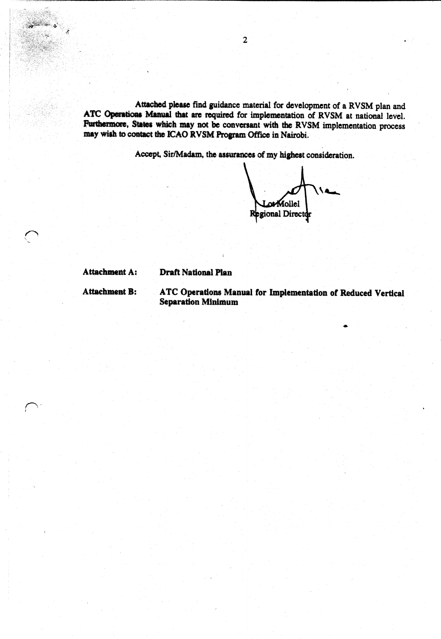Attached please find guidance material for development of a RVSM plan and ATC Operations Manual that are required for implementation of RVSM at national level. Furthermore, States which may not be conversant with the RVSM implementation process may wish to contact the ICAO RVSM Program Office in Nairobi.

Accept, Sir/Madam, the assurances of my highest consideration.

orMollel Regional Director

Attachment A:

#### **Draft National Plan**

**Attachment B:** 

ATC Operations Manual for Implementation of Reduced Vertical **Separation Minimum**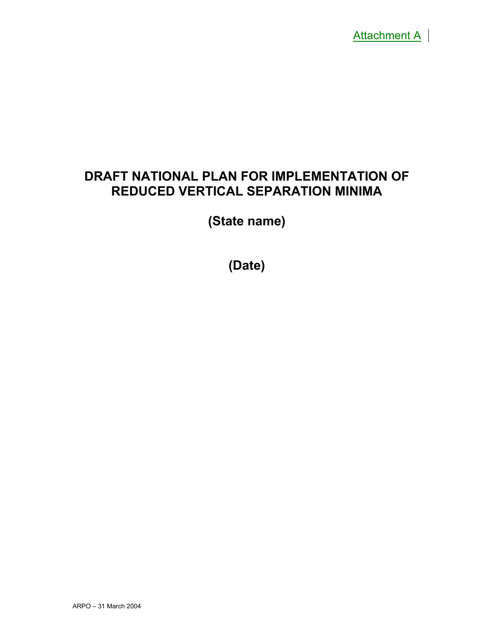

# **DRAFT NATIONAL PLAN FOR IMPLEMENTATION OF REDUCED VERTICAL SEPARATION MINIMA**

**(State name)** 

**(Date)**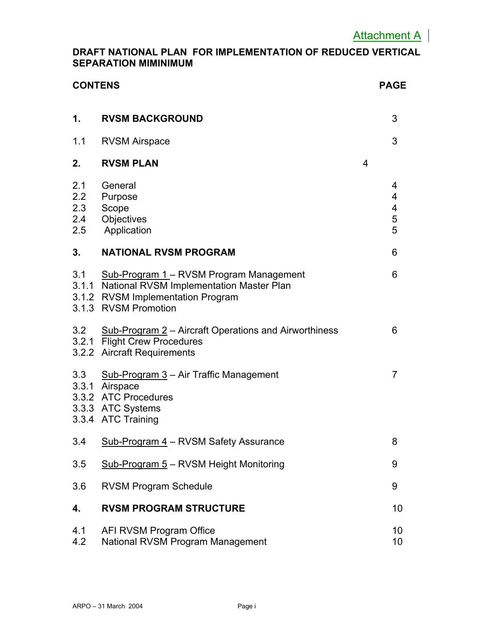#### **DRAFT NATIONAL PLAN FOR IMPLEMENTATION OF REDUCED VERTICAL SEPARATION MIMINIMUM**

| <b>CONTENS</b>                  |                                                                                                                                                        |                | <b>PAGE</b>                  |
|---------------------------------|--------------------------------------------------------------------------------------------------------------------------------------------------------|----------------|------------------------------|
| 1.                              | <b>RVSM BACKGROUND</b>                                                                                                                                 |                | 3                            |
| 1.1                             | <b>RVSM Airspace</b>                                                                                                                                   |                | 3                            |
| 2.                              | <b>RVSM PLAN</b>                                                                                                                                       | $\overline{4}$ |                              |
| 2.1<br>2.2<br>2.3<br>2.4<br>2.5 | General<br>Purpose<br>Scope<br>Objectives<br>Application                                                                                               |                | 4<br>4<br>4<br>$\frac{5}{5}$ |
| 3.                              | <b>NATIONAL RVSM PROGRAM</b>                                                                                                                           |                | 6                            |
| 3.1                             | Sub-Program 1 – RVSM Program Management<br>3.1.1 National RVSM Implementation Master Plan<br>3.1.2 RVSM Implementation Program<br>3.1.3 RVSM Promotion |                | 6                            |
|                                 | 3.2 Sub-Program 2 - Aircraft Operations and Airworthiness<br>3.2.1 Flight Crew Procedures<br>3.2.2 Aircraft Requirements                               |                | 6                            |
|                                 | 3.3 Sub-Program 3 - Air Traffic Management<br>3.3.1 Airspace<br>3.3.2 ATC Procedures<br>3.3.3 ATC Systems<br>3.3.4 ATC Training                        |                | 7                            |
| 3.4                             | Sub-Program 4 - RVSM Safety Assurance                                                                                                                  |                | ŏ                            |
| 3.5                             | Sub-Program 5 - RVSM Height Monitoring                                                                                                                 |                | 9                            |
| 3.6                             | <b>RVSM Program Schedule</b>                                                                                                                           |                | 9                            |
| 4.                              | <b>RVSM PROGRAM STRUCTURE</b>                                                                                                                          |                | 10                           |
| 4.1<br>4.2                      | AFI RVSM Program Office<br>National RVSM Program Management                                                                                            |                | 10<br>10                     |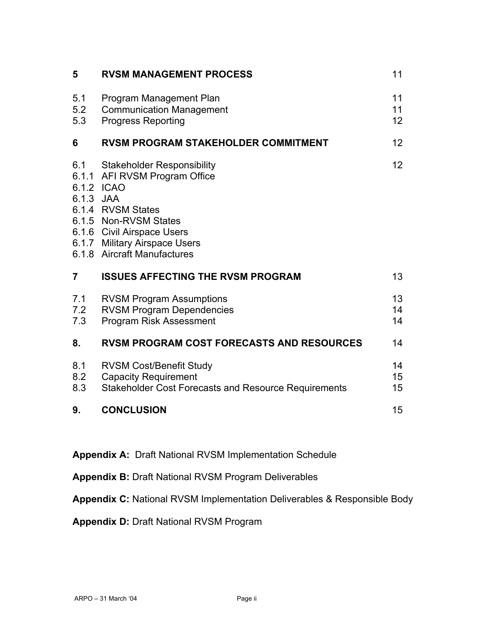| 5                              | <b>RVSM MANAGEMENT PROCESS</b>                                                                                                                                                                          | 11                          |
|--------------------------------|---------------------------------------------------------------------------------------------------------------------------------------------------------------------------------------------------------|-----------------------------|
| 5.1<br>5.2<br>5.3              | Program Management Plan<br><b>Communication Management</b><br><b>Progress Reporting</b>                                                                                                                 | 11<br>11<br>12 <sup>2</sup> |
| 6                              | <b>RVSM PROGRAM STAKEHOLDER COMMITMENT</b>                                                                                                                                                              | 12                          |
| 6.1<br>6.1.2 ICAO<br>6.1.3 JAA | Stakeholder Responsibility<br>6.1.1 AFI RVSM Program Office<br>6.1.4 RVSM States<br>6.1.5 Non-RVSM States<br>6.1.6 Civil Airspace Users<br>6.1.7 Military Airspace Users<br>6.1.8 Aircraft Manufactures | 12                          |
| $\overline{7}$                 | <b>ISSUES AFFECTING THE RVSM PROGRAM</b>                                                                                                                                                                | 13                          |
| 7.1<br>7.2<br>7.3              | <b>RVSM Program Assumptions</b><br><b>RVSM Program Dependencies</b><br>Program Risk Assessment                                                                                                          | 13<br>14<br>14              |
| 8.                             | <b>RVSM PROGRAM COST FORECASTS AND RESOURCES</b>                                                                                                                                                        | 14                          |
| 8.1<br>8.2<br>8.3              | <b>RVSM Cost/Benefit Study</b><br><b>Capacity Requirement</b><br><b>Stakeholder Cost Forecasts and Resource Requirements</b>                                                                            | 14<br>15<br>15              |
| 9.                             | <b>CONCLUSION</b>                                                                                                                                                                                       | 15                          |

**Appendix A:** Draft National RVSM Implementation Schedule

**Appendix B:** Draft National RVSM Program Deliverables

**Appendix C:** National RVSM Implementation Deliverables & Responsible Body

**Appendix D:** Draft National RVSM Program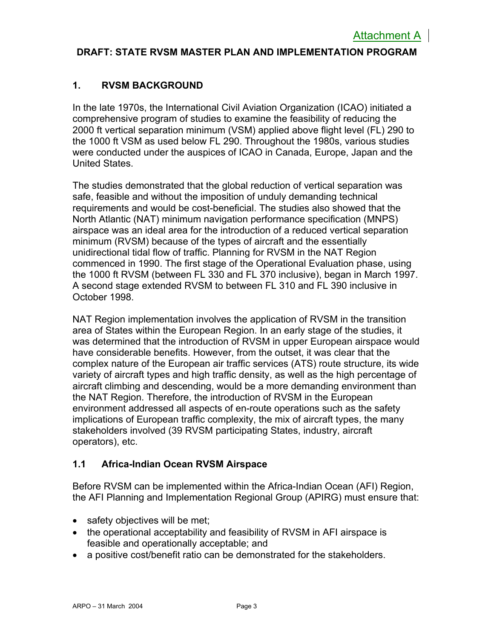#### **DRAFT: STATE RVSM MASTER PLAN AND IMPLEMENTATION PROGRAM**

#### **1. RVSM BACKGROUND**

In the late 1970s, the International Civil Aviation Organization (ICAO) initiated a comprehensive program of studies to examine the feasibility of reducing the 2000 ft vertical separation minimum (VSM) applied above flight level (FL) 290 to the 1000 ft VSM as used below FL 290. Throughout the 1980s, various studies were conducted under the auspices of ICAO in Canada, Europe, Japan and the United States.

The studies demonstrated that the global reduction of vertical separation was safe, feasible and without the imposition of unduly demanding technical requirements and would be cost-beneficial. The studies also showed that the North Atlantic (NAT) minimum navigation performance specification (MNPS) airspace was an ideal area for the introduction of a reduced vertical separation minimum (RVSM) because of the types of aircraft and the essentially unidirectional tidal flow of traffic. Planning for RVSM in the NAT Region commenced in 1990. The first stage of the Operational Evaluation phase, using the 1000 ft RVSM (between FL 330 and FL 370 inclusive), began in March 1997. A second stage extended RVSM to between FL 310 and FL 390 inclusive in October 1998.

NAT Region implementation involves the application of RVSM in the transition area of States within the European Region. In an early stage of the studies, it was determined that the introduction of RVSM in upper European airspace would have considerable benefits. However, from the outset, it was clear that the complex nature of the European air traffic services (ATS) route structure, its wide variety of aircraft types and high traffic density, as well as the high percentage of aircraft climbing and descending, would be a more demanding environment than the NAT Region. Therefore, the introduction of RVSM in the European environment addressed all aspects of en-route operations such as the safety implications of European traffic complexity, the mix of aircraft types, the many stakeholders involved (39 RVSM participating States, industry, aircraft operators), etc.

#### **1.1 Africa-Indian Ocean RVSM Airspace**

Before RVSM can be implemented within the Africa-Indian Ocean (AFI) Region, the AFI Planning and Implementation Regional Group (APIRG) must ensure that:

- safety objectives will be met;
- the operational acceptability and feasibility of RVSM in AFI airspace is feasible and operationally acceptable; and
- a positive cost/benefit ratio can be demonstrated for the stakeholders.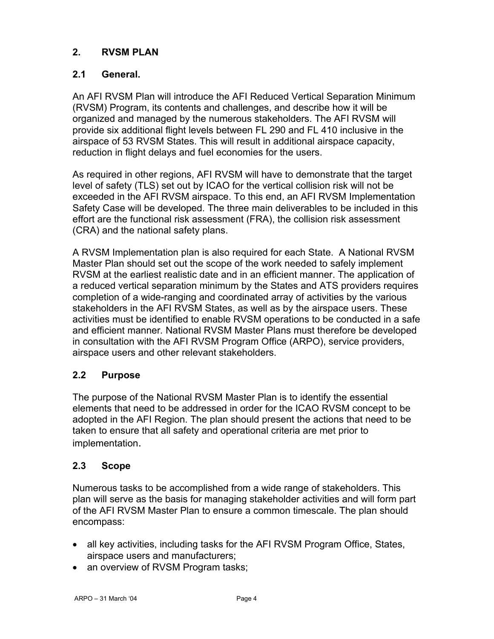#### **2. RVSM PLAN**

#### **2.1 General.**

An AFI RVSM Plan will introduce the AFI Reduced Vertical Separation Minimum (RVSM) Program, its contents and challenges, and describe how it will be organized and managed by the numerous stakeholders. The AFI RVSM will provide six additional flight levels between FL 290 and FL 410 inclusive in the airspace of 53 RVSM States. This will result in additional airspace capacity, reduction in flight delays and fuel economies for the users.

As required in other regions, AFI RVSM will have to demonstrate that the target level of safety (TLS) set out by ICAO for the vertical collision risk will not be exceeded in the AFI RVSM airspace. To this end, an AFI RVSM Implementation Safety Case will be developed. The three main deliverables to be included in this effort are the functional risk assessment (FRA), the collision risk assessment (CRA) and the national safety plans.

A RVSM Implementation plan is also required for each State. A National RVSM Master Plan should set out the scope of the work needed to safely implement RVSM at the earliest realistic date and in an efficient manner. The application of a reduced vertical separation minimum by the States and ATS providers requires completion of a wide-ranging and coordinated array of activities by the various stakeholders in the AFI RVSM States, as well as by the airspace users. These activities must be identified to enable RVSM operations to be conducted in a safe and efficient manner*.* National RVSM Master Plans must therefore be developed in consultation with the AFI RVSM Program Office (ARPO), service providers, airspace users and other relevant stakeholders.

#### **2.2 Purpose**

The purpose of the National RVSM Master Plan is to identify the essential elements that need to be addressed in order for the ICAO RVSM concept to be adopted in the AFI Region. The plan should present the actions that need to be taken to ensure that all safety and operational criteria are met prior to implementation.

#### **2.3 Scope**

Numerous tasks to be accomplished from a wide range of stakeholders. This plan will serve as the basis for managing stakeholder activities and will form part of the AFI RVSM Master Plan to ensure a common timescale. The plan should encompass:

- all key activities, including tasks for the AFI RVSM Program Office, States, airspace users and manufacturers;
- an overview of RVSM Program tasks;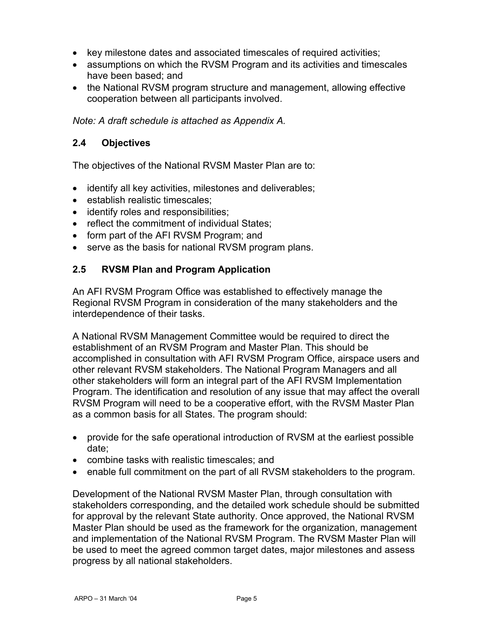- key milestone dates and associated timescales of required activities;
- assumptions on which the RVSM Program and its activities and timescales have been based; and
- the National RVSM program structure and management, allowing effective cooperation between all participants involved.

#### *Note: A draft schedule is attached as Appendix A.*

#### **2.4 Objectives**

The objectives of the National RVSM Master Plan are to:

- identify all key activities, milestones and deliverables;
- establish realistic timescales;
- identify roles and responsibilities;
- reflect the commitment of individual States:
- form part of the AFI RVSM Program; and
- serve as the basis for national RVSM program plans.

#### **2.5 RVSM Plan and Program Application**

An AFI RVSM Program Office was established to effectively manage the Regional RVSM Program in consideration of the many stakeholders and the interdependence of their tasks.

A National RVSM Management Committee would be required to direct the establishment of an RVSM Program and Master Plan. This should be accomplished in consultation with AFI RVSM Program Office, airspace users and other relevant RVSM stakeholders. The National Program Managers and all other stakeholders will form an integral part of the AFI RVSM Implementation Program. The identification and resolution of any issue that may affect the overall RVSM Program will need to be a cooperative effort, with the RVSM Master Plan as a common basis for all States. The program should:

- provide for the safe operational introduction of RVSM at the earliest possible date;
- combine tasks with realistic timescales; and
- enable full commitment on the part of all RVSM stakeholders to the program.

Development of the National RVSM Master Plan, through consultation with stakeholders corresponding, and the detailed work schedule should be submitted for approval by the relevant State authority. Once approved, the National RVSM Master Plan should be used as the framework for the organization, management and implementation of the National RVSM Program. The RVSM Master Plan will be used to meet the agreed common target dates, major milestones and assess progress by all national stakeholders.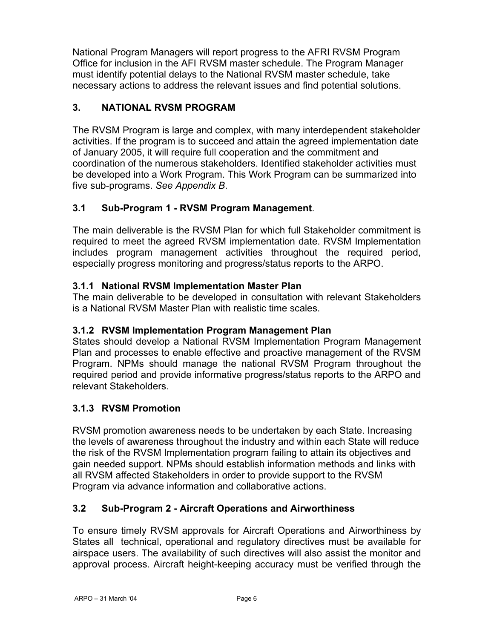National Program Managers will report progress to the AFRI RVSM Program Office for inclusion in the AFI RVSM master schedule. The Program Manager must identify potential delays to the National RVSM master schedule, take necessary actions to address the relevant issues and find potential solutions.

#### **3. NATIONAL RVSM PROGRAM**

The RVSM Program is large and complex, with many interdependent stakeholder activities. If the program is to succeed and attain the agreed implementation date of January 2005, it will require full cooperation and the commitment and coordination of the numerous stakeholders. Identified stakeholder activities must be developed into a Work Program. This Work Program can be summarized into five sub-programs. *See Appendix B*.

#### **3.1 Sub-Program 1 - RVSM Program Management**.

The main deliverable is the RVSM Plan for which full Stakeholder commitment is required to meet the agreed RVSM implementation date. RVSM Implementation includes program management activities throughout the required period, especially progress monitoring and progress/status reports to the ARPO.

#### **3.1.1 National RVSM Implementation Master Plan**

The main deliverable to be developed in consultation with relevant Stakeholders is a National RVSM Master Plan with realistic time scales.

#### **3.1.2 RVSM Implementation Program Management Plan**

States should develop a National RVSM Implementation Program Management Plan and processes to enable effective and proactive management of the RVSM Program. NPMs should manage the national RVSM Program throughout the required period and provide informative progress/status reports to the ARPO and relevant Stakeholders.

#### **3.1.3 RVSM Promotion**

RVSM promotion awareness needs to be undertaken by each State. Increasing the levels of awareness throughout the industry and within each State will reduce the risk of the RVSM Implementation program failing to attain its objectives and gain needed support. NPMs should establish information methods and links with all RVSM affected Stakeholders in order to provide support to the RVSM Program via advance information and collaborative actions.

#### **3.2 Sub-Program 2 - Aircraft Operations and Airworthiness**

To ensure timely RVSM approvals for Aircraft Operations and Airworthiness by States all technical, operational and regulatory directives must be available for airspace users. The availability of such directives will also assist the monitor and approval process. Aircraft height-keeping accuracy must be verified through the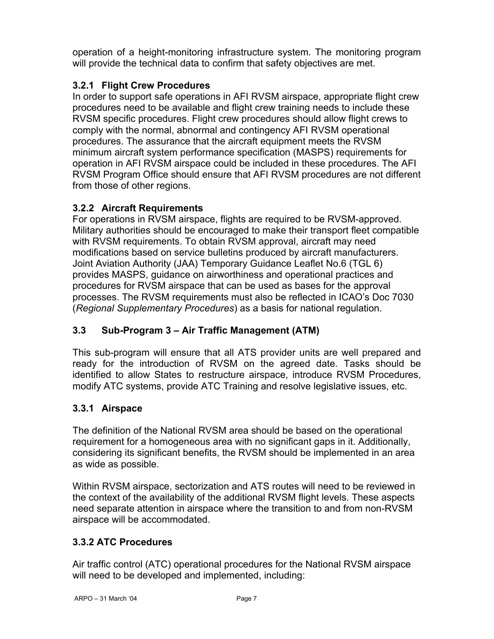operation of a height-monitoring infrastructure system. The monitoring program will provide the technical data to confirm that safety objectives are met.

#### **3.2.1 Flight Crew Procedures**

In order to support safe operations in AFI RVSM airspace, appropriate flight crew procedures need to be available and flight crew training needs to include these RVSM specific procedures. Flight crew procedures should allow flight crews to comply with the normal, abnormal and contingency AFI RVSM operational procedures. The assurance that the aircraft equipment meets the RVSM minimum aircraft system performance specification (MASPS) requirements for operation in AFI RVSM airspace could be included in these procedures. The AFI RVSM Program Office should ensure that AFI RVSM procedures are not different from those of other regions.

#### **3.2.2 Aircraft Requirements**

For operations in RVSM airspace, flights are required to be RVSM-approved. Military authorities should be encouraged to make their transport fleet compatible with RVSM requirements. To obtain RVSM approval, aircraft may need modifications based on service bulletins produced by aircraft manufacturers. Joint Aviation Authority (JAA) Temporary Guidance Leaflet No.6 (TGL 6) provides MASPS, guidance on airworthiness and operational practices and procedures for RVSM airspace that can be used as bases for the approval processes. The RVSM requirements must also be reflected in ICAO's Doc 7030 (*Regional Supplementary Procedures*) as a basis for national regulation.

#### **3.3 Sub-Program 3 – Air Traffic Management (ATM)**

This sub-program will ensure that all ATS provider units are well prepared and ready for the introduction of RVSM on the agreed date. Tasks should be identified to allow States to restructure airspace, introduce RVSM Procedures, modify ATC systems, provide ATC Training and resolve legislative issues, etc.

#### **3.3.1 Airspace**

The definition of the National RVSM area should be based on the operational requirement for a homogeneous area with no significant gaps in it. Additionally, considering its significant benefits, the RVSM should be implemented in an area as wide as possible.

Within RVSM airspace, sectorization and ATS routes will need to be reviewed in the context of the availability of the additional RVSM flight levels. These aspects need separate attention in airspace where the transition to and from non-RVSM airspace will be accommodated.

#### **3.3.2 ATC Procedures**

Air traffic control (ATC) operational procedures for the National RVSM airspace will need to be developed and implemented, including: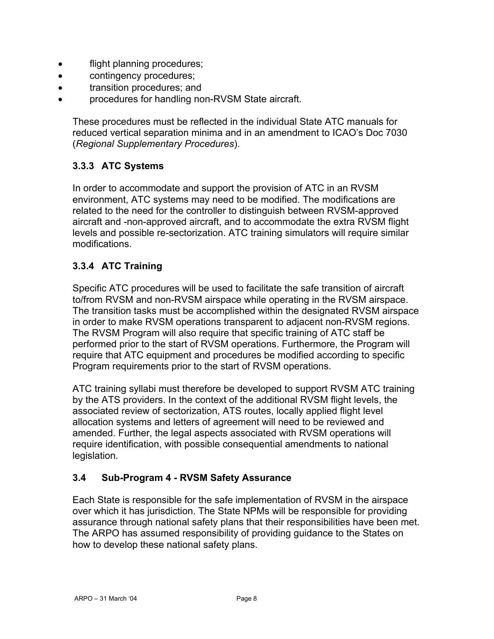- flight planning procedures;
- contingency procedures;
- transition procedures; and
- procedures for handling non-RVSM State aircraft.

These procedures must be reflected in the individual State ATC manuals for reduced vertical separation minima and in an amendment to ICAO's Doc 7030 (*Regional Supplementary Procedures*).

#### **3.3.3 ATC Systems**

In order to accommodate and support the provision of ATC in an RVSM environment, ATC systems may need to be modified. The modifications are related to the need for the controller to distinguish between RVSM-approved aircraft and -non-approved aircraft, and to accommodate the extra RVSM flight levels and possible re-sectorization. ATC training simulators will require similar modifications.

#### **3.3.4 ATC Training**

Specific ATC procedures will be used to facilitate the safe transition of aircraft to/from RVSM and non-RVSM airspace while operating in the RVSM airspace. The transition tasks must be accomplished within the designated RVSM airspace in order to make RVSM operations transparent to adjacent non-RVSM regions. The RVSM Program will also require that specific training of ATC staff be performed prior to the start of RVSM operations. Furthermore, the Program will require that ATC equipment and procedures be modified according to specific Program requirements prior to the start of RVSM operations.

ATC training syllabi must therefore be developed to support RVSM ATC training by the ATS providers. In the context of the additional RVSM flight levels, the associated review of sectorization, ATS routes, locally applied flight level allocation systems and letters of agreement will need to be reviewed and amended. Further, the legal aspects associated with RVSM operations will require identification, with possible consequential amendments to national legislation.

#### **3.4 Sub-Program 4 - RVSM Safety Assurance**

Each State is responsible for the safe implementation of RVSM in the airspace over which it has jurisdiction. The State NPMs will be responsible for providing assurance through national safety plans that their responsibilities have been met. The ARPO has assumed responsibility of providing guidance to the States on how to develop these national safety plans.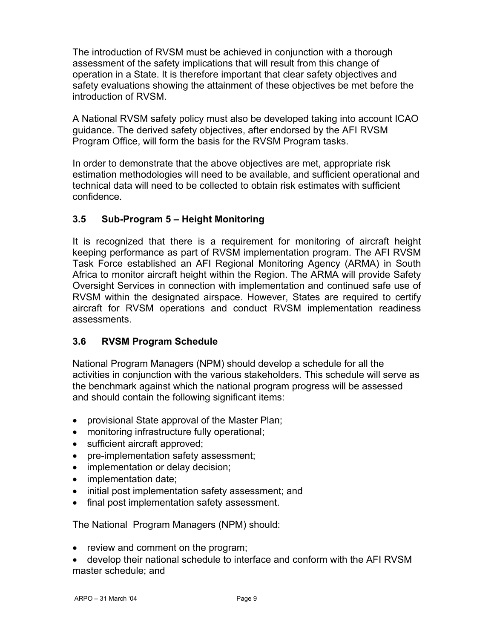The introduction of RVSM must be achieved in conjunction with a thorough assessment of the safety implications that will result from this change of operation in a State. It is therefore important that clear safety objectives and safety evaluations showing the attainment of these objectives be met before the introduction of RVSM.

A National RVSM safety policy must also be developed taking into account ICAO guidance. The derived safety objectives, after endorsed by the AFI RVSM Program Office, will form the basis for the RVSM Program tasks.

In order to demonstrate that the above objectives are met, appropriate risk estimation methodologies will need to be available, and sufficient operational and technical data will need to be collected to obtain risk estimates with sufficient confidence.

#### **3.5 Sub-Program 5 – Height Monitoring**

It is recognized that there is a requirement for monitoring of aircraft height keeping performance as part of RVSM implementation program. The AFI RVSM Task Force established an AFI Regional Monitoring Agency (ARMA) in South Africa to monitor aircraft height within the Region. The ARMA will provide Safety Oversight Services in connection with implementation and continued safe use of RVSM within the designated airspace. However, States are required to certify aircraft for RVSM operations and conduct RVSM implementation readiness assessments.

#### **3.6 RVSM Program Schedule**

National Program Managers (NPM) should develop a schedule for all the activities in conjunction with the various stakeholders*.* This schedule will serve as the benchmark against which the national program progress will be assessed and should contain the following significant items:

- provisional State approval of the Master Plan;
- monitoring infrastructure fully operational;
- sufficient aircraft approved;
- pre-implementation safety assessment;
- implementation or delay decision;
- implementation date;
- initial post implementation safety assessment; and
- final post implementation safety assessment.

The National Program Managers (NPM) should:

- review and comment on the program;
- develop their national schedule to interface and conform with the AFI RVSM master schedule; and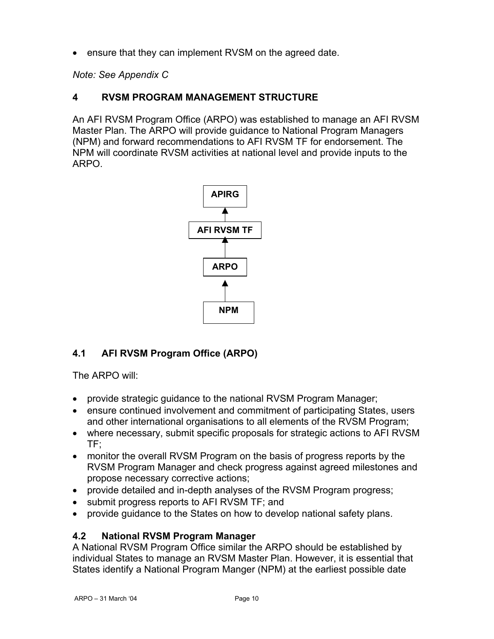ensure that they can implement RVSM on the agreed date.

*Note: See Appendix C* 

#### **4 RVSM PROGRAM MANAGEMENT STRUCTURE**

An AFI RVSM Program Office (ARPO) was established to manage an AFI RVSM Master Plan. The ARPO will provide guidance to National Program Managers (NPM) and forward recommendations to AFI RVSM TF for endorsement. The NPM will coordinate RVSM activities at national level and provide inputs to the ARPO.



#### **4.1 AFI RVSM Program Office (ARPO)**

The ARPO will:

- provide strategic guidance to the national RVSM Program Manager;
- ensure continued involvement and commitment of participating States, users and other international organisations to all elements of the RVSM Program;
- where necessary, submit specific proposals for strategic actions to AFI RVSM TF;
- monitor the overall RVSM Program on the basis of progress reports by the RVSM Program Manager and check progress against agreed milestones and propose necessary corrective actions;
- provide detailed and in-depth analyses of the RVSM Program progress;
- submit progress reports to AFI RVSM TF; and
- provide guidance to the States on how to develop national safety plans.

#### **4.2 National RVSM Program Manager**

A National RVSM Program Office similar the ARPO should be established by individual States to manage an RVSM Master Plan. However, it is essential that States identify a National Program Manger (NPM) at the earliest possible date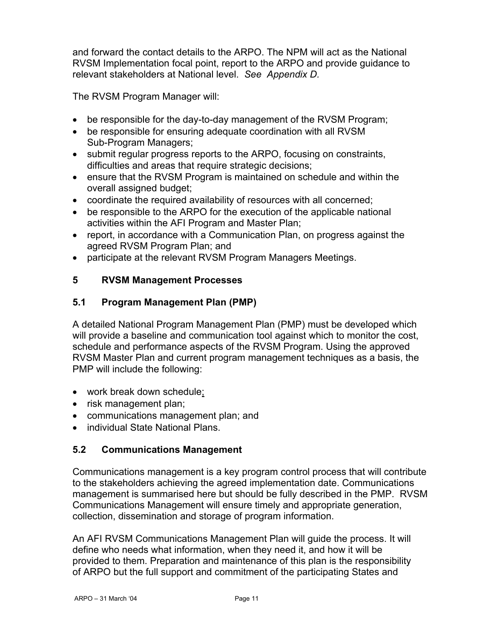and forward the contact details to the ARPO. The NPM will act as the National RVSM Implementation focal point, report to the ARPO and provide guidance to relevant stakeholders at National level. *See Appendix D.* 

The RVSM Program Manager will:

- be responsible for the day-to-day management of the RVSM Program;
- be responsible for ensuring adequate coordination with all RVSM Sub-Program Managers;
- submit regular progress reports to the ARPO, focusing on constraints, difficulties and areas that require strategic decisions;
- ensure that the RVSM Program is maintained on schedule and within the overall assigned budget;
- coordinate the required availability of resources with all concerned;
- be responsible to the ARPO for the execution of the applicable national activities within the AFI Program and Master Plan;
- report, in accordance with a Communication Plan, on progress against the agreed RVSM Program Plan; and
- participate at the relevant RVSM Program Managers Meetings.

#### **5 RVSM Management Processes**

#### **5.1 Program Management Plan (PMP)**

A detailed National Program Management Plan (PMP) must be developed which will provide a baseline and communication tool against which to monitor the cost, schedule and performance aspects of the RVSM Program. Using the approved RVSM Master Plan and current program management techniques as a basis, the PMP will include the following:

- work break down schedule;
- risk management plan;
- communications management plan; and
- individual State National Plans.

#### **5.2 Communications Management**

Communications management is a key program control process that will contribute to the stakeholders achieving the agreed implementation date. Communications management is summarised here but should be fully described in the PMP. RVSM Communications Management will ensure timely and appropriate generation, collection, dissemination and storage of program information.

An AFI RVSM Communications Management Plan will guide the process. It will define who needs what information, when they need it, and how it will be provided to them. Preparation and maintenance of this plan is the responsibility of ARPO but the full support and commitment of the participating States and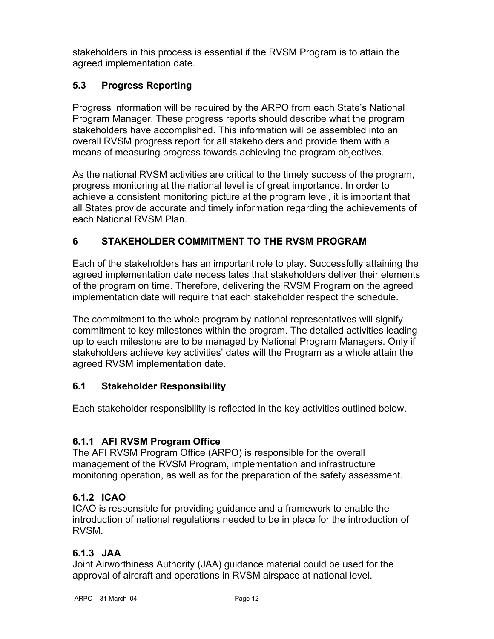stakeholders in this process is essential if the RVSM Program is to attain the agreed implementation date.

#### **5.3 Progress Reporting**

Progress information will be required by the ARPO from each State's National Program Manager. These progress reports should describe what the program stakeholders have accomplished. This information will be assembled into an overall RVSM progress report for all stakeholders and provide them with a means of measuring progress towards achieving the program objectives.

As the national RVSM activities are critical to the timely success of the program, progress monitoring at the national level is of great importance. In order to achieve a consistent monitoring picture at the program level, it is important that all States provide accurate and timely information regarding the achievements of each National RVSM Plan.

#### **6 STAKEHOLDER COMMITMENT TO THE RVSM PROGRAM**

Each of the stakeholders has an important role to play. Successfully attaining the agreed implementation date necessitates that stakeholders deliver their elements of the program on time. Therefore, delivering the RVSM Program on the agreed implementation date will require that each stakeholder respect the schedule.

The commitment to the whole program by national representatives will signify commitment to key milestones within the program. The detailed activities leading up to each milestone are to be managed by National Program Managers. Only if stakeholders achieve key activities' dates will the Program as a whole attain the agreed RVSM implementation date.

#### **6.1 Stakeholder Responsibility**

Each stakeholder responsibility is reflected in the key activities outlined below.

#### **6.1.1 AFI RVSM Program Office**

The AFI RVSM Program Office (ARPO) is responsible for the overall management of the RVSM Program, implementation and infrastructure monitoring operation, as well as for the preparation of the safety assessment.

#### **6.1.2 ICAO**

ICAO is responsible for providing guidance and a framework to enable the introduction of national regulations needed to be in place for the introduction of RVSM.

#### **6.1.3 JAA**

Joint Airworthiness Authority (JAA) guidance material could be used for the approval of aircraft and operations in RVSM airspace at national level.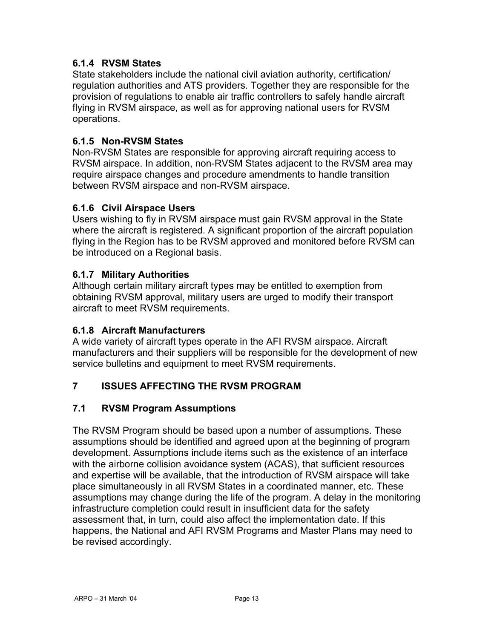#### **6.1.4 RVSM States**

State stakeholders include the national civil aviation authority, certification/ regulation authorities and ATS providers. Together they are responsible for the provision of regulations to enable air traffic controllers to safely handle aircraft flying in RVSM airspace, as well as for approving national users for RVSM operations.

#### **6.1.5 Non-RVSM States**

Non-RVSM States are responsible for approving aircraft requiring access to RVSM airspace. In addition, non-RVSM States adjacent to the RVSM area may require airspace changes and procedure amendments to handle transition between RVSM airspace and non-RVSM airspace.

#### **6.1.6 Civil Airspace Users**

Users wishing to fly in RVSM airspace must gain RVSM approval in the State where the aircraft is registered. A significant proportion of the aircraft population flying in the Region has to be RVSM approved and monitored before RVSM can be introduced on a Regional basis.

#### **6.1.7 Military Authorities**

Although certain military aircraft types may be entitled to exemption from obtaining RVSM approval, military users are urged to modify their transport aircraft to meet RVSM requirements.

#### **6.1.8 Aircraft Manufacturers**

A wide variety of aircraft types operate in the AFI RVSM airspace. Aircraft manufacturers and their suppliers will be responsible for the development of new service bulletins and equipment to meet RVSM requirements.

#### **7 ISSUES AFFECTING THE RVSM PROGRAM**

#### **7.1 RVSM Program Assumptions**

The RVSM Program should be based upon a number of assumptions. These assumptions should be identified and agreed upon at the beginning of program development. Assumptions include items such as the existence of an interface with the airborne collision avoidance system (ACAS), that sufficient resources and expertise will be available, that the introduction of RVSM airspace will take place simultaneously in all RVSM States in a coordinated manner, etc. These assumptions may change during the life of the program. A delay in the monitoring infrastructure completion could result in insufficient data for the safety assessment that, in turn, could also affect the implementation date. If this happens, the National and AFI RVSM Programs and Master Plans may need to be revised accordingly.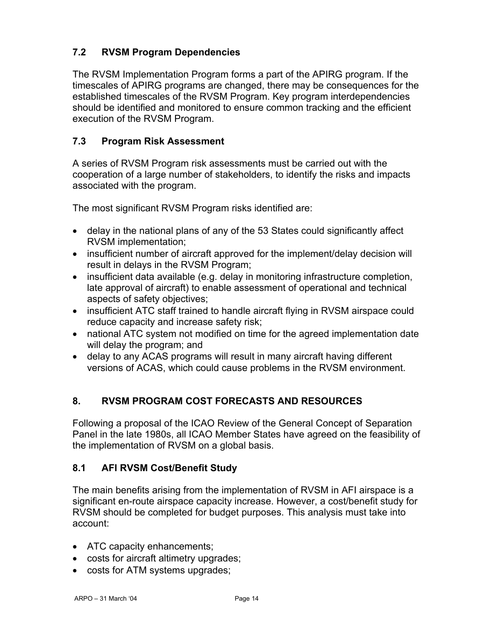#### **7.2 RVSM Program Dependencies**

The RVSM Implementation Program forms a part of the APIRG program. If the timescales of APIRG programs are changed, there may be consequences for the established timescales of the RVSM Program. Key program interdependencies should be identified and monitored to ensure common tracking and the efficient execution of the RVSM Program.

#### **7.3 Program Risk Assessment**

A series of RVSM Program risk assessments must be carried out with the cooperation of a large number of stakeholders, to identify the risks and impacts associated with the program.

The most significant RVSM Program risks identified are:

- delay in the national plans of any of the 53 States could significantly affect RVSM implementation;
- insufficient number of aircraft approved for the implement/delay decision will result in delays in the RVSM Program;
- insufficient data available (e.g. delay in monitoring infrastructure completion, late approval of aircraft) to enable assessment of operational and technical aspects of safety objectives;
- insufficient ATC staff trained to handle aircraft flying in RVSM airspace could reduce capacity and increase safety risk;
- national ATC system not modified on time for the agreed implementation date will delay the program; and
- delay to any ACAS programs will result in many aircraft having different versions of ACAS, which could cause problems in the RVSM environment.

#### **8. RVSM PROGRAM COST FORECASTS AND RESOURCES**

Following a proposal of the ICAO Review of the General Concept of Separation Panel in the late 1980s, all ICAO Member States have agreed on the feasibility of the implementation of RVSM on a global basis.

#### **8.1 AFI RVSM Cost/Benefit Study**

The main benefits arising from the implementation of RVSM in AFI airspace is a significant en-route airspace capacity increase. However, a cost/benefit study for RVSM should be completed for budget purposes. This analysis must take into account:

- ATC capacity enhancements;
- costs for aircraft altimetry upgrades;
- costs for ATM systems upgrades;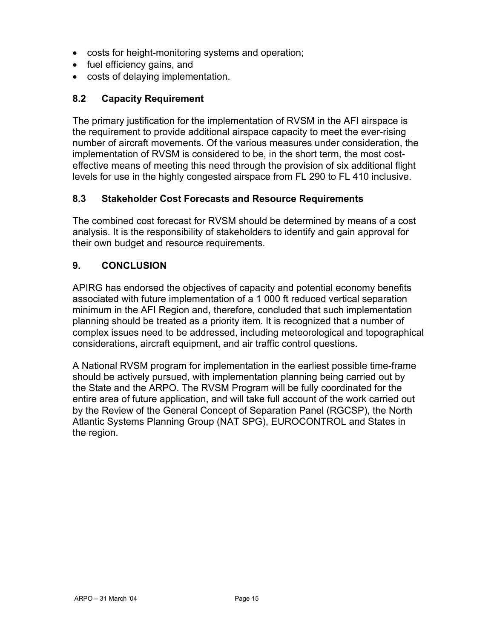- costs for height-monitoring systems and operation;
- fuel efficiency gains, and
- costs of delaying implementation.

#### **8.2 Capacity Requirement**

The primary justification for the implementation of RVSM in the AFI airspace is the requirement to provide additional airspace capacity to meet the ever-rising number of aircraft movements. Of the various measures under consideration, the implementation of RVSM is considered to be, in the short term, the most costeffective means of meeting this need through the provision of six additional flight levels for use in the highly congested airspace from FL 290 to FL 410 inclusive.

#### **8.3 Stakeholder Cost Forecasts and Resource Requirements**

The combined cost forecast for RVSM should be determined by means of a cost analysis. It is the responsibility of stakeholders to identify and gain approval for their own budget and resource requirements.

#### **9. CONCLUSION**

APIRG has endorsed the objectives of capacity and potential economy benefits associated with future implementation of a 1 000 ft reduced vertical separation minimum in the AFI Region and, therefore, concluded that such implementation planning should be treated as a priority item. It is recognized that a number of complex issues need to be addressed, including meteorological and topographical considerations, aircraft equipment, and air traffic control questions.

A National RVSM program for implementation in the earliest possible time-frame should be actively pursued, with implementation planning being carried out by the State and the ARPO. The RVSM Program will be fully coordinated for the entire area of future application, and will take full account of the work carried out by the Review of the General Concept of Separation Panel (RGCSP), the North Atlantic Systems Planning Group (NAT SPG), EUROCONTROL and States in the region.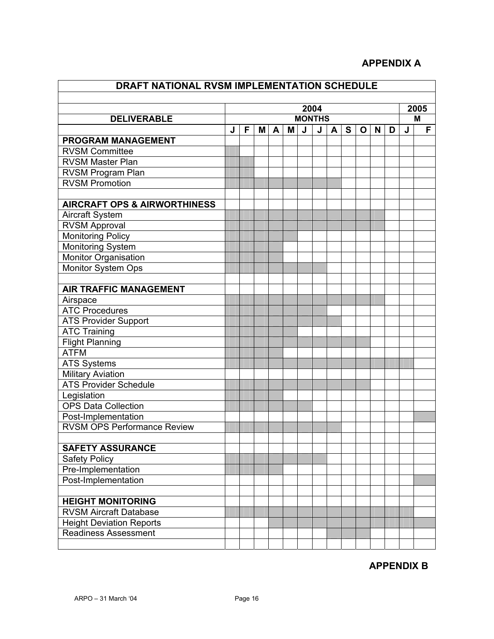#### **APPENDIX A**

| DRAFT NATIONAL RVSM IMPLEMENTATION SCHEDULE |               |   |   |   |           |   |   |   |   |   |   |   |   |  |
|---------------------------------------------|---------------|---|---|---|-----------|---|---|---|---|---|---|---|---|--|
|                                             |               |   |   |   |           |   |   |   |   |   |   |   |   |  |
|                                             | 2004          |   |   |   | 2005<br>M |   |   |   |   |   |   |   |   |  |
| <b>DELIVERABLE</b>                          | <b>MONTHS</b> |   |   |   | F         |   |   |   |   |   |   |   |   |  |
| <b>PROGRAM MANAGEMENT</b>                   | J             | F | Μ | A | M         | J | J | A | S | O | N | D | J |  |
| <b>RVSM Committee</b>                       |               |   |   |   |           |   |   |   |   |   |   |   |   |  |
| <b>RVSM Master Plan</b>                     |               |   |   |   |           |   |   |   |   |   |   |   |   |  |
| RVSM Program Plan                           |               |   |   |   |           |   |   |   |   |   |   |   |   |  |
| <b>RVSM Promotion</b>                       |               |   |   |   |           |   |   |   |   |   |   |   |   |  |
|                                             |               |   |   |   |           |   |   |   |   |   |   |   |   |  |
| <b>AIRCRAFT OPS &amp; AIRWORTHINESS</b>     |               |   |   |   |           |   |   |   |   |   |   |   |   |  |
| <b>Aircraft System</b>                      |               |   |   |   |           |   |   |   |   |   |   |   |   |  |
| <b>RVSM Approval</b>                        |               |   |   |   |           |   |   |   |   |   |   |   |   |  |
| <b>Monitoring Policy</b>                    |               |   |   |   |           |   |   |   |   |   |   |   |   |  |
| <b>Monitoring System</b>                    |               |   |   |   |           |   |   |   |   |   |   |   |   |  |
| Monitor Organisation                        |               |   |   |   |           |   |   |   |   |   |   |   |   |  |
| <b>Monitor System Ops</b>                   |               |   |   |   |           |   |   |   |   |   |   |   |   |  |
|                                             |               |   |   |   |           |   |   |   |   |   |   |   |   |  |
| <b>AIR TRAFFIC MANAGEMENT</b>               |               |   |   |   |           |   |   |   |   |   |   |   |   |  |
| Airspace                                    |               |   |   |   |           |   |   |   |   |   |   |   |   |  |
| <b>ATC Procedures</b>                       |               |   |   |   |           |   |   |   |   |   |   |   |   |  |
| <b>ATS Provider Support</b>                 |               |   |   |   |           |   |   |   |   |   |   |   |   |  |
| <b>ATC Training</b>                         |               |   |   |   |           |   |   |   |   |   |   |   |   |  |
| <b>Flight Planning</b>                      |               |   |   |   |           |   |   |   |   |   |   |   |   |  |
| <b>ATFM</b>                                 |               |   |   |   |           |   |   |   |   |   |   |   |   |  |
| <b>ATS Systems</b>                          |               |   |   |   |           |   |   |   |   |   |   |   |   |  |
| <b>Military Aviation</b>                    |               |   |   |   |           |   |   |   |   |   |   |   |   |  |
| <b>ATS Provider Schedule</b>                |               |   |   |   |           |   |   |   |   |   |   |   |   |  |
| Legislation                                 |               |   |   |   |           |   |   |   |   |   |   |   |   |  |
| <b>OPS Data Collection</b>                  |               |   |   |   |           |   |   |   |   |   |   |   |   |  |
| Post-Implementation                         |               |   |   |   |           |   |   |   |   |   |   |   |   |  |
| <b>RVSM OPS Performance Review</b>          |               |   |   |   |           |   |   |   |   |   |   |   |   |  |
|                                             |               |   |   |   |           |   |   |   |   |   |   |   |   |  |
| <b>SAFETY ASSURANCE</b>                     |               |   |   |   |           |   |   |   |   |   |   |   |   |  |
| <b>Safety Policy</b>                        |               |   |   |   |           |   |   |   |   |   |   |   |   |  |
| Pre-Implementation                          |               |   |   |   |           |   |   |   |   |   |   |   |   |  |
| Post-Implementation                         |               |   |   |   |           |   |   |   |   |   |   |   |   |  |
|                                             |               |   |   |   |           |   |   |   |   |   |   |   |   |  |
| <b>HEIGHT MONITORING</b>                    |               |   |   |   |           |   |   |   |   |   |   |   |   |  |
| <b>RVSM Aircraft Database</b>               |               |   |   |   |           |   |   |   |   |   |   |   |   |  |
| <b>Height Deviation Reports</b>             |               |   |   |   |           |   |   |   |   |   |   |   |   |  |
| <b>Readiness Assessment</b>                 |               |   |   |   |           |   |   |   |   |   |   |   |   |  |
|                                             |               |   |   |   |           |   |   |   |   |   |   |   |   |  |

## **APPENDIX B**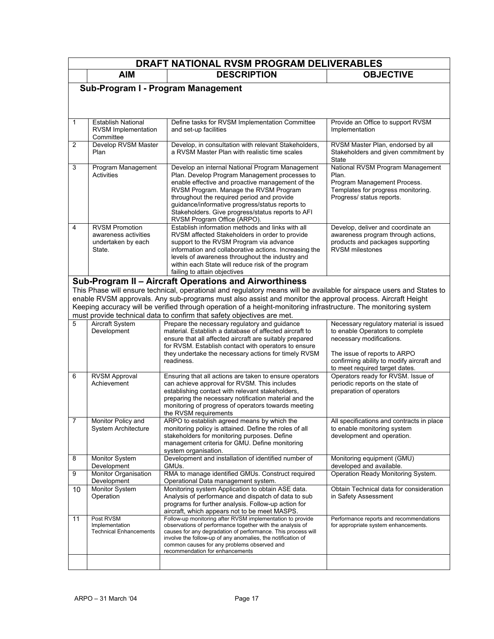|                                    | DRAFT NATIONAL RVSM PROGRAM DELIVERABLES                                      |                                                                                                                                                                                                                                                                                                                                                                                    |                                                                                                                                             |  |  |  |
|------------------------------------|-------------------------------------------------------------------------------|------------------------------------------------------------------------------------------------------------------------------------------------------------------------------------------------------------------------------------------------------------------------------------------------------------------------------------------------------------------------------------|---------------------------------------------------------------------------------------------------------------------------------------------|--|--|--|
|                                    | <b>AIM</b>                                                                    | <b>DESCRIPTION</b>                                                                                                                                                                                                                                                                                                                                                                 | <b>OBJECTIVE</b>                                                                                                                            |  |  |  |
| Sub-Program I - Program Management |                                                                               |                                                                                                                                                                                                                                                                                                                                                                                    |                                                                                                                                             |  |  |  |
|                                    |                                                                               |                                                                                                                                                                                                                                                                                                                                                                                    |                                                                                                                                             |  |  |  |
|                                    |                                                                               |                                                                                                                                                                                                                                                                                                                                                                                    |                                                                                                                                             |  |  |  |
| 1                                  | <b>Establish National</b><br>RVSM Implementation<br>Committee                 | Define tasks for RVSM Implementation Committee<br>and set-up facilities                                                                                                                                                                                                                                                                                                            | Provide an Office to support RVSM<br>Implementation                                                                                         |  |  |  |
| $\overline{2}$                     | Develop RVSM Master<br>Plan                                                   | Develop, in consultation with relevant Stakeholders,<br>a RVSM Master Plan with realistic time scales                                                                                                                                                                                                                                                                              | RVSM Master Plan, endorsed by all<br>Stakeholders and given commitment by<br>State                                                          |  |  |  |
| 3                                  | Program Management<br><b>Activities</b>                                       | Develop an internal National Program Management<br>Plan. Develop Program Management processes to<br>enable effective and proactive management of the<br>RVSM Program. Manage the RVSM Program<br>throughout the required period and provide<br>guidance/informative progress/status reports to<br>Stakeholders. Give progress/status reports to AFI<br>RVSM Program Office (ARPO). | National RVSM Program Management<br>Plan.<br>Program Management Process.<br>Templates for progress monitoring.<br>Progress/ status reports. |  |  |  |
| 4                                  | <b>RVSM Promotion</b><br>awareness activities<br>undertaken by each<br>State. | Establish information methods and links with all<br>RVSM affected Stakeholders in order to provide<br>support to the RVSM Program via advance<br>information and collaborative actions. Increasing the<br>levels of awareness throughout the industry and<br>within each State will reduce risk of the program<br>failing to attain objectives                                     | Develop, deliver and coordinate an<br>awareness program through actions.<br>products and packages supporting<br><b>RVSM</b> milestones      |  |  |  |
|                                    |                                                                               | Sub-Program II - Aircraft Operations and Airworthiness                                                                                                                                                                                                                                                                                                                             |                                                                                                                                             |  |  |  |
|                                    |                                                                               | This Phase will ensure technical, operational and regulatory means will be available for airspace users and States to                                                                                                                                                                                                                                                              |                                                                                                                                             |  |  |  |
|                                    |                                                                               | enable RVSM approvals. Any sub-programs must also assist and monitor the approval process. Aircraft Height                                                                                                                                                                                                                                                                         |                                                                                                                                             |  |  |  |
|                                    |                                                                               | Keeping accuracy will be verified through operation of a height-monitoring infrastructure. The monitoring system<br>must provide technical data to confirm that safety objectives are met.                                                                                                                                                                                         |                                                                                                                                             |  |  |  |
| 5                                  | <b>Aircraft System</b><br>Development                                         | Prepare the necessary regulatory and guidance<br>material. Establish a database of affected aircraft to<br>ensure that all affected aircraft are suitably prepared                                                                                                                                                                                                                 | Necessary regulatory material is issued<br>to enable Operators to complete<br>necessary modifications.                                      |  |  |  |
|                                    |                                                                               | for RVSM. Establish contact with operators to ensure<br>they undertake the necessary actions for timely RVSM<br>readiness.                                                                                                                                                                                                                                                         | The issue of reports to ARPO<br>confirming ability to modify aircraft and<br>to meet required target dates.                                 |  |  |  |
| 6                                  | <b>RVSM Approval</b><br>Achievement                                           | Ensuring that all actions are taken to ensure operators<br>can achieve approval for RVSM. This includes<br>establishing contact with relevant stakeholders,<br>preparing the necessary notification material and the<br>monitoring of progress of operators towards meeting<br>the RVSM requirements                                                                               | Operators ready for RVSM. Issue of<br>periodic reports on the state of<br>preparation of operators                                          |  |  |  |
| $\prime$                           | Monitor Policy and<br>System Architecture                                     | ARPO to establish agreed means by which the<br>monitoring policy is attained. Define the roles of all<br>stakeholders for monitoring purposes. Define<br>management criteria for GMU. Define monitoring<br>system organisation.                                                                                                                                                    | All specifications and contracts in place<br>to enable monitoring system<br>development and operation.                                      |  |  |  |
| 8                                  | Monitor System<br>Development                                                 | Development and installation of identified number of<br>GMUs.                                                                                                                                                                                                                                                                                                                      | Monitoring equipment (GMU)<br>developed and available.                                                                                      |  |  |  |
| 9                                  | Monitor Organisation                                                          | RMA to manage identified GMUs. Construct required                                                                                                                                                                                                                                                                                                                                  | Operation Ready Monitoring System.                                                                                                          |  |  |  |
| 10                                 | Development<br>Monitor System<br>Operation                                    | Operational Data management system.<br>Monitoring system Application to obtain ASE data.<br>Analysis of performance and dispatch of data to sub<br>programs for further analysis. Follow-up action for<br>aircraft, which appears not to be meet MASPS.                                                                                                                            | Obtain Technical data for consideration<br>in Safety Assessment                                                                             |  |  |  |
| 11                                 | Post RVSM<br>Implementation<br><b>Technical Enhancements</b>                  | Follow-up monitoring after RVSM implementation to provide<br>observations of performance together with the analysis of<br>causes for any degradation of performance. This process will<br>involve the follow-up of any anomalies, the notification of<br>common causes for any problems observed and<br>recommendation for enhancements                                            | Performance reports and recommendations<br>for appropriate system enhancements.                                                             |  |  |  |
|                                    |                                                                               |                                                                                                                                                                                                                                                                                                                                                                                    |                                                                                                                                             |  |  |  |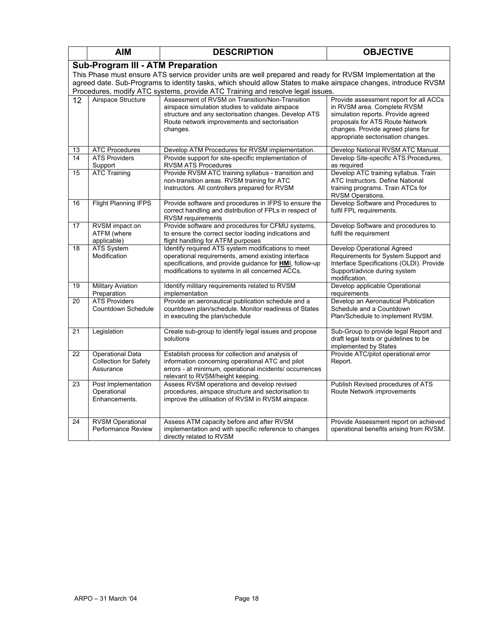|    | <b>AIM</b>                                                                                                                                                                                                                      | <b>DESCRIPTION</b>                                                                                                                                                                                                             | <b>OBJECTIVE</b>                                                                                                                                                                                                          |  |  |  |  |
|----|---------------------------------------------------------------------------------------------------------------------------------------------------------------------------------------------------------------------------------|--------------------------------------------------------------------------------------------------------------------------------------------------------------------------------------------------------------------------------|---------------------------------------------------------------------------------------------------------------------------------------------------------------------------------------------------------------------------|--|--|--|--|
|    | <b>Sub-Program III - ATM Preparation</b>                                                                                                                                                                                        |                                                                                                                                                                                                                                |                                                                                                                                                                                                                           |  |  |  |  |
|    | This Phase must ensure ATS service provider units are well prepared and ready for RVSM Implementation at the<br>agreed date. Sub-Programs to identity tasks, which should allow States to make airspace changes, introduce RVSM |                                                                                                                                                                                                                                |                                                                                                                                                                                                                           |  |  |  |  |
|    |                                                                                                                                                                                                                                 | Procedures, modify ATC systems, provide ATC Training and resolve legal issues.                                                                                                                                                 |                                                                                                                                                                                                                           |  |  |  |  |
| 12 | Airspace Structure                                                                                                                                                                                                              | Assessment of RVSM on Transition/Non-Transition<br>airspace simulation studies to validate airspace<br>structure and any sectorisation changes. Develop ATS<br>Route network improvements and sectorisation<br>changes.        | Provide assessment report for all ACCs<br>in RVSM area. Complete RVSM<br>simulation reports. Provide agreed<br>proposals for ATS Route Network<br>changes. Provide agreed plans for<br>appropriate sectorisation changes. |  |  |  |  |
| 13 | <b>ATC Procedures</b>                                                                                                                                                                                                           | Develop ATM Procedures for RVSM implementation.                                                                                                                                                                                | Develop National RVSM ATC Manual.                                                                                                                                                                                         |  |  |  |  |
| 14 | <b>ATS Providers</b><br>Support                                                                                                                                                                                                 | Provide support for site-specific implementation of<br><b>RVSM ATS Procedures</b>                                                                                                                                              | Develop Site-specific ATS Procedures,<br>as required                                                                                                                                                                      |  |  |  |  |
| 15 | <b>ATC Training</b>                                                                                                                                                                                                             | Provide RVSM ATC training syllabus - transition and<br>non-transition areas. RVSM training for ATC<br>Instructors. All controllers prepared for RVSM                                                                           | Develop ATC training syllabus. Train<br>ATC Instructors. Define National<br>training programs. Train ATCs for<br>RVSM Operations.                                                                                         |  |  |  |  |
| 16 | <b>Flight Planning IFPS</b>                                                                                                                                                                                                     | Provide software and procedures in IFPS to ensure the<br>correct handling and distribution of FPLs in respect of<br><b>RVSM</b> requirements                                                                                   | Develop Software and Procedures to<br>fulfil FPL requirements.                                                                                                                                                            |  |  |  |  |
| 17 | RVSM impact on<br>ATFM (where<br>applicable)                                                                                                                                                                                    | Provide software and procedures for CFMU systems,<br>to ensure the correct sector loading indications and<br>flight handling for ATFM purposes                                                                                 | Develop Software and procedures to<br>fulfil the requirement                                                                                                                                                              |  |  |  |  |
| 18 | ATS System<br>Modification                                                                                                                                                                                                      | Identify required ATS system modifications to meet<br>operational requirements, amend existing interface<br>specifications, and provide guidance for <b>HMI</b> , follow-up<br>modifications to systems in all concerned ACCs. | <b>Develop Operational Agreed</b><br>Requirements for System Support and<br>Interface Specifications (OLDI). Provide<br>Support/advice during system<br>modification.                                                     |  |  |  |  |
| 19 | <b>Military Aviation</b><br>Preparation                                                                                                                                                                                         | Identify military requirements related to RVSM<br>implementation                                                                                                                                                               | Develop applicable Operational<br>requirements                                                                                                                                                                            |  |  |  |  |
| 20 | <b>ATS Providers</b><br>Countdown Schedule                                                                                                                                                                                      | Provide an aeronautical publication schedule and a<br>countdown plan/schedule. Monitor readiness of States<br>in executing the plan/schedule                                                                                   | Develop an Aeronautical Publication<br>Schedule and a Countdown<br>Plan/Schedule to implement RVSM.                                                                                                                       |  |  |  |  |
| 21 | Legislation                                                                                                                                                                                                                     | Create sub-group to identify legal issues and propose<br>solutions                                                                                                                                                             | Sub-Group to provide legal Report and<br>draft legal texts or guidelines to be<br>implemented by States                                                                                                                   |  |  |  |  |
| 22 | Operational Data<br>Collection for Safety<br>Assurance                                                                                                                                                                          | Establish process for collection and analysis of<br>information concerning operational ATC and pilot<br>errors - at minimum, operational incidents/ occurrences<br>relevant to RVSM/height keeping.                            | Provide ATC/pilot operational error<br>Report.                                                                                                                                                                            |  |  |  |  |
| 23 | Post Implementation<br>Operational<br>Enhancements.                                                                                                                                                                             | Assess RVSM operations and develop revised<br>procedures, airspace structure and sectorisation to<br>improve the utilisation of RVSM in RVSM airspace.                                                                         | Publish Revised procedures of ATS<br>Route Network improvements                                                                                                                                                           |  |  |  |  |
| 24 | <b>RVSM Operational</b><br>Performance Review                                                                                                                                                                                   | Assess ATM capacity before and after RVSM<br>implementation and with specific reference to changes<br>directly related to RVSM                                                                                                 | Provide Assessment report on achieved<br>operational benefits arising from RVSM.                                                                                                                                          |  |  |  |  |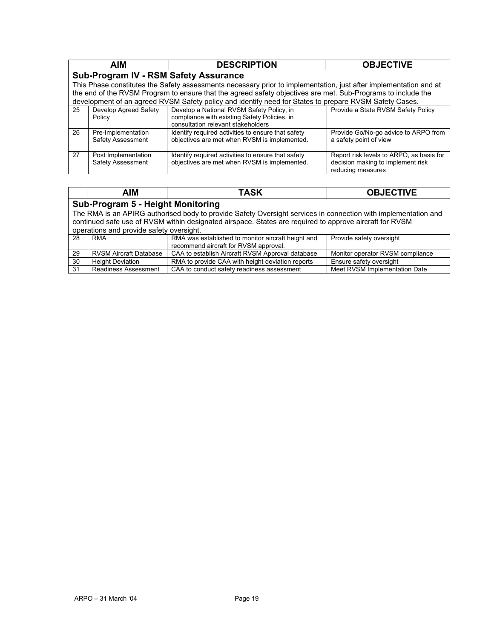|    | <b>AIM</b>                                                                                                                                                                                                                        | <b>DESCRIPTION</b>                                                                                                              | <b>OBJECTIVE</b>                                                                                   |  |  |  |  |  |
|----|-----------------------------------------------------------------------------------------------------------------------------------------------------------------------------------------------------------------------------------|---------------------------------------------------------------------------------------------------------------------------------|----------------------------------------------------------------------------------------------------|--|--|--|--|--|
|    | Sub-Program IV - RSM Safety Assurance                                                                                                                                                                                             |                                                                                                                                 |                                                                                                    |  |  |  |  |  |
|    | This Phase constitutes the Safety assessments necessary prior to implementation, just after implementation and at<br>the end of the RVSM Program to ensure that the agreed safety objectives are met. Sub-Programs to include the |                                                                                                                                 |                                                                                                    |  |  |  |  |  |
|    |                                                                                                                                                                                                                                   | development of an agreed RVSM Safety policy and identify need for States to prepare RVSM Safety Cases.                          |                                                                                                    |  |  |  |  |  |
| 25 | Develop Agreed Safety<br>Policy                                                                                                                                                                                                   | Develop a National RVSM Safety Policy, in<br>compliance with existing Safety Policies, in<br>consultation relevant stakeholders | Provide a State RVSM Safety Policy                                                                 |  |  |  |  |  |
| 26 | Pre-Implementation<br>Safety Assessment                                                                                                                                                                                           | Identify required activities to ensure that safety<br>objectives are met when RVSM is implemented.                              | Provide Go/No-go advice to ARPO from<br>a safety point of view                                     |  |  |  |  |  |
| 27 | Post Implementation<br>Safety Assessment                                                                                                                                                                                          | Identify required activities to ensure that safety<br>objectives are met when RVSM is implemented.                              | Report risk levels to ARPO, as basis for<br>decision making to implement risk<br>reducing measures |  |  |  |  |  |

| <b>OBJECTIVE</b>                                                                                               |  |  |  |  |  |  |
|----------------------------------------------------------------------------------------------------------------|--|--|--|--|--|--|
|                                                                                                                |  |  |  |  |  |  |
| Sub-Program 5 - Height Monitoring                                                                              |  |  |  |  |  |  |
| The RMA is an APIRG authorised body to provide Safety Oversight services in connection with implementation and |  |  |  |  |  |  |
| continued safe use of RVSM within designated airspace. States are required to approve aircraft for RVSM        |  |  |  |  |  |  |
|                                                                                                                |  |  |  |  |  |  |
| Provide safety oversight                                                                                       |  |  |  |  |  |  |
|                                                                                                                |  |  |  |  |  |  |
| Monitor operator RVSM compliance                                                                               |  |  |  |  |  |  |
| Ensure safety oversight                                                                                        |  |  |  |  |  |  |
| Meet RVSM Implementation Date                                                                                  |  |  |  |  |  |  |
|                                                                                                                |  |  |  |  |  |  |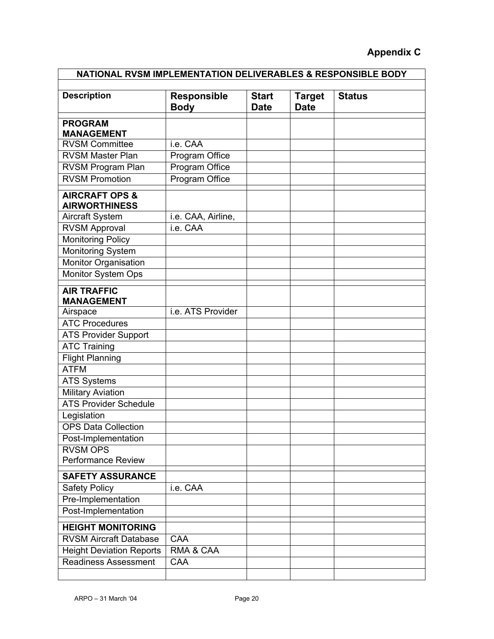#### **Appendix C**

| NATIONAL RVSM IMPLEMENTATION DELIVERABLES & RESPONSIBLE BODY |                                   |                             |                              |               |
|--------------------------------------------------------------|-----------------------------------|-----------------------------|------------------------------|---------------|
| <b>Description</b>                                           | <b>Responsible</b><br><b>Body</b> | <b>Start</b><br><b>Date</b> | <b>Target</b><br><b>Date</b> | <b>Status</b> |
| <b>PROGRAM</b><br><b>MANAGEMENT</b>                          |                                   |                             |                              |               |
| <b>RVSM Committee</b>                                        | i.e. CAA                          |                             |                              |               |
| <b>RVSM Master Plan</b>                                      | Program Office                    |                             |                              |               |
| RVSM Program Plan                                            | Program Office                    |                             |                              |               |
| <b>RVSM Promotion</b>                                        | Program Office                    |                             |                              |               |
| <b>AIRCRAFT OPS &amp;</b><br><b>AIRWORTHINESS</b>            |                                   |                             |                              |               |
| <b>Aircraft System</b>                                       | i.e. CAA, Airline,                |                             |                              |               |
| <b>RVSM Approval</b>                                         | i.e. CAA                          |                             |                              |               |
| <b>Monitoring Policy</b>                                     |                                   |                             |                              |               |
| Monitoring System                                            |                                   |                             |                              |               |
| <b>Monitor Organisation</b>                                  |                                   |                             |                              |               |
| Monitor System Ops                                           |                                   |                             |                              |               |
| <b>AIR TRAFFIC</b><br><b>MANAGEMENT</b>                      |                                   |                             |                              |               |
| Airspace                                                     | i.e. ATS Provider                 |                             |                              |               |
| <b>ATC Procedures</b>                                        |                                   |                             |                              |               |
| <b>ATS Provider Support</b>                                  |                                   |                             |                              |               |
| <b>ATC Training</b>                                          |                                   |                             |                              |               |
| <b>Flight Planning</b>                                       |                                   |                             |                              |               |
| <b>ATFM</b>                                                  |                                   |                             |                              |               |
| <b>ATS Systems</b>                                           |                                   |                             |                              |               |
| <b>Military Aviation</b>                                     |                                   |                             |                              |               |
| <b>ATS Provider Schedule</b>                                 |                                   |                             |                              |               |
| Legislation                                                  |                                   |                             |                              |               |
| <b>OPS Data Collection</b>                                   |                                   |                             |                              |               |
| Post-Implementation                                          |                                   |                             |                              |               |
| <b>RVSM OPS</b>                                              |                                   |                             |                              |               |
| <b>Performance Review</b>                                    |                                   |                             |                              |               |
| <b>SAFETY ASSURANCE</b>                                      |                                   |                             |                              |               |
| <b>Safety Policy</b>                                         | i.e. CAA                          |                             |                              |               |
| Pre-Implementation                                           |                                   |                             |                              |               |
| Post-Implementation                                          |                                   |                             |                              |               |
| <b>HEIGHT MONITORING</b>                                     |                                   |                             |                              |               |
| <b>RVSM Aircraft Database</b>                                | CAA                               |                             |                              |               |
| <b>Height Deviation Reports</b>                              | RMA & CAA                         |                             |                              |               |
| <b>Readiness Assessment</b>                                  | CAA                               |                             |                              |               |
|                                                              |                                   |                             |                              |               |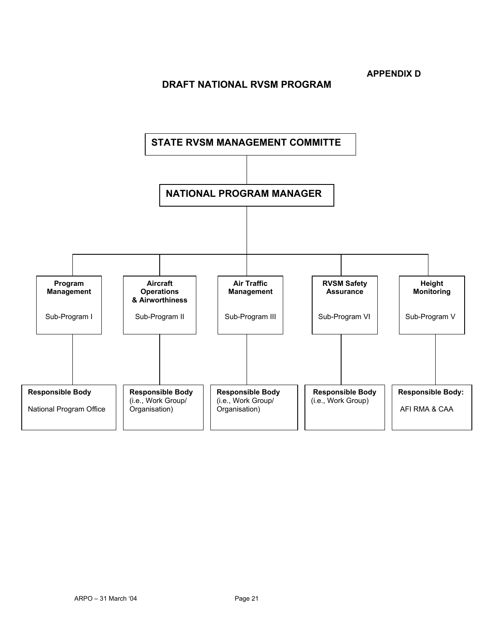**APPENDIX D** 

#### **DRAFT NATIONAL RVSM PROGRAM**

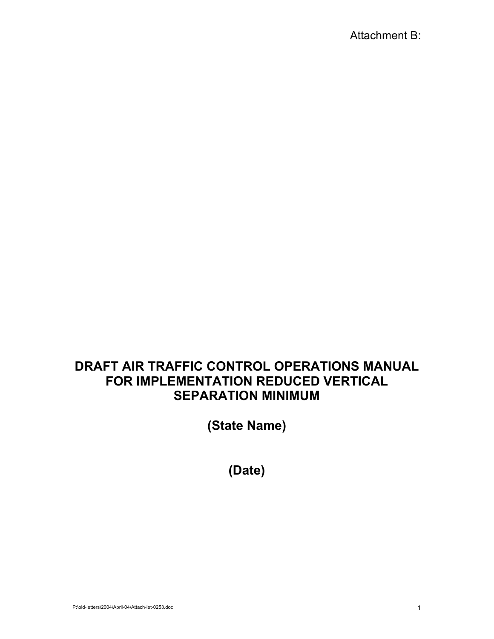## **DRAFT AIR TRAFFIC CONTROL OPERATIONS MANUAL FOR IMPLEMENTATION REDUCED VERTICAL SEPARATION MINIMUM**

**(State Name)** 

**(Date)**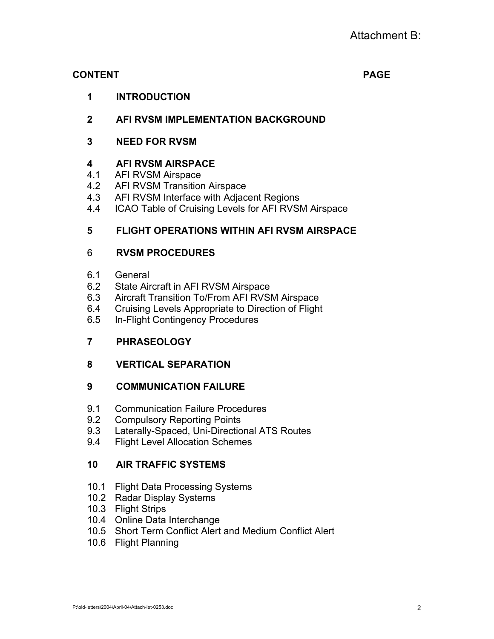#### **CONTENT PAGE**

**1 INTRODUCTION** 

## **2 AFI RVSM IMPLEMENTATION BACKGROUND**

**3 NEED FOR RVSM** 

#### **4 AFI RVSM AIRSPACE**

- 4.1 AFI RVSM Airspace
- 4.2 AFI RVSM Transition Airspace
- 4.3 AFI RVSM Interface with Adjacent Regions
- 4.4 ICAO Table of Cruising Levels for AFI RVSM Airspace

#### **5 FLIGHT OPERATIONS WITHIN AFI RVSM AIRSPACE**

#### 6 **RVSM PROCEDURES**

- 6.1 General
- 6.2 State Aircraft in AFI RVSM Airspace
- 6.3 Aircraft Transition To/From AFI RVSM Airspace
- 6.4 Cruising Levels Appropriate to Direction of Flight
- 6.5 In-Flight Contingency Procedures

#### **7 PHRASEOLOGY**

#### **8 VERTICAL SEPARATION**

#### **9 COMMUNICATION FAILURE**

- 9.1 Communication Failure Procedures
- 9.2 Compulsory Reporting Points
- 9.3 Laterally-Spaced, Uni-Directional ATS Routes
- 9.4 Flight Level Allocation Schemes

#### **10 AIR TRAFFIC SYSTEMS**

- 10.1 Flight Data Processing Systems
- 10.2 Radar Display Systems
- 10.3 Flight Strips
- 10.4 Online Data Interchange
- 10.5 Short Term Conflict Alert and Medium Conflict Alert
- 10.6 Flight Planning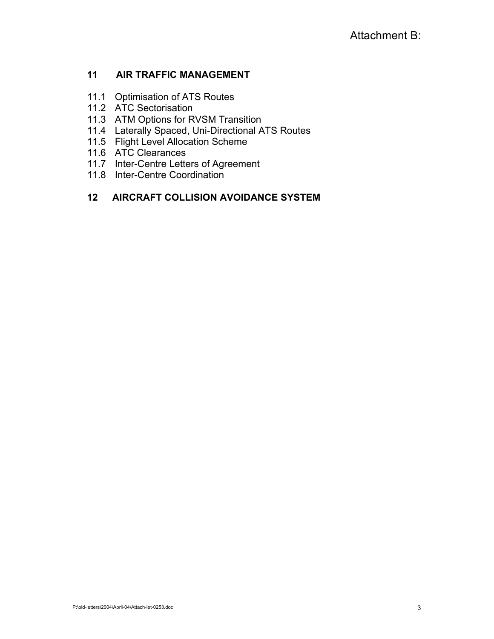#### **11 AIR TRAFFIC MANAGEMENT**

- 11.1 Optimisation of ATS Routes
- 11.2 ATC Sectorisation
- 11.3 ATM Options for RVSM Transition
- 11.4 Laterally Spaced, Uni-Directional ATS Routes
- 11.5 Flight Level Allocation Scheme
- 11.6 ATC Clearances
- 11.7 Inter-Centre Letters of Agreement
- 11.8 Inter-Centre Coordination

#### **12 AIRCRAFT COLLISION AVOIDANCE SYSTEM**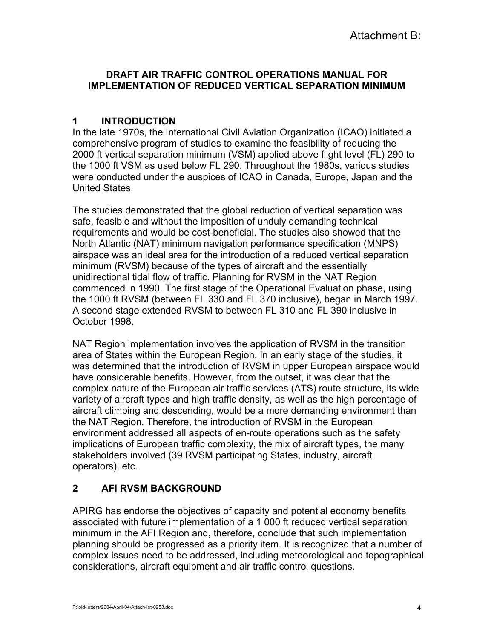#### **DRAFT AIR TRAFFIC CONTROL OPERATIONS MANUAL FOR IMPLEMENTATION OF REDUCED VERTICAL SEPARATION MINIMUM**

#### **1 INTRODUCTION**

In the late 1970s, the International Civil Aviation Organization (ICAO) initiated a comprehensive program of studies to examine the feasibility of reducing the 2000 ft vertical separation minimum (VSM) applied above flight level (FL) 290 to the 1000 ft VSM as used below FL 290. Throughout the 1980s, various studies were conducted under the auspices of ICAO in Canada, Europe, Japan and the United States.

The studies demonstrated that the global reduction of vertical separation was safe, feasible and without the imposition of unduly demanding technical requirements and would be cost-beneficial. The studies also showed that the North Atlantic (NAT) minimum navigation performance specification (MNPS) airspace was an ideal area for the introduction of a reduced vertical separation minimum (RVSM) because of the types of aircraft and the essentially unidirectional tidal flow of traffic. Planning for RVSM in the NAT Region commenced in 1990. The first stage of the Operational Evaluation phase, using the 1000 ft RVSM (between FL 330 and FL 370 inclusive), began in March 1997. A second stage extended RVSM to between FL 310 and FL 390 inclusive in October 1998.

NAT Region implementation involves the application of RVSM in the transition area of States within the European Region. In an early stage of the studies, it was determined that the introduction of RVSM in upper European airspace would have considerable benefits. However, from the outset, it was clear that the complex nature of the European air traffic services (ATS) route structure, its wide variety of aircraft types and high traffic density, as well as the high percentage of aircraft climbing and descending, would be a more demanding environment than the NAT Region. Therefore, the introduction of RVSM in the European environment addressed all aspects of en-route operations such as the safety implications of European traffic complexity, the mix of aircraft types, the many stakeholders involved (39 RVSM participating States, industry, aircraft operators), etc.

#### **2 AFI RVSM BACKGROUND**

APIRG has endorse the objectives of capacity and potential economy benefits associated with future implementation of a 1 000 ft reduced vertical separation minimum in the AFI Region and, therefore, conclude that such implementation planning should be progressed as a priority item. It is recognized that a number of complex issues need to be addressed, including meteorological and topographical considerations, aircraft equipment and air traffic control questions.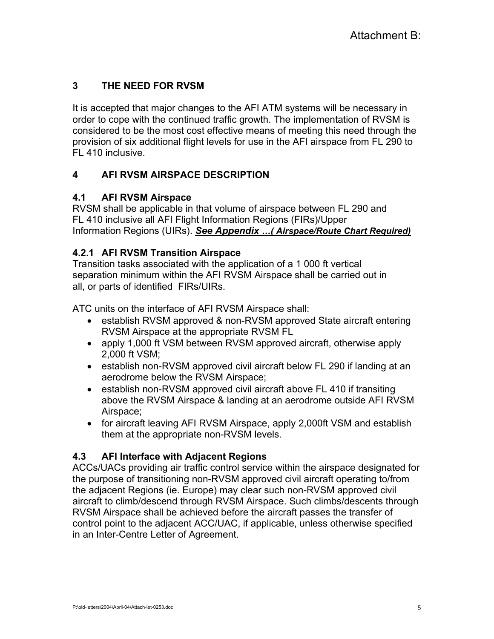## **3 THE NEED FOR RVSM**

It is accepted that major changes to the AFI ATM systems will be necessary in order to cope with the continued traffic growth. The implementation of RVSM is considered to be the most cost effective means of meeting this need through the provision of six additional flight levels for use in the AFI airspace from FL 290 to FL 410 inclusive.

#### **4 AFI RVSM AIRSPACE DESCRIPTION**

#### **4.1 AFI RVSM Airspace**

RVSM shall be applicable in that volume of airspace between FL 290 and FL 410 inclusive all AFI Flight Information Regions (FIRs)/Upper Information Regions (UIRs). *See Appendix …( Airspace/Route Chart Required)*

#### **4.2.1 AFI RVSM Transition Airspace**

Transition tasks associated with the application of a 1 000 ft vertical separation minimum within the AFI RVSM Airspace shall be carried out in all, or parts of identified FIRs/UIRs.

ATC units on the interface of AFI RVSM Airspace shall:

- establish RVSM approved & non-RVSM approved State aircraft entering RVSM Airspace at the appropriate RVSM FL
- apply 1,000 ft VSM between RVSM approved aircraft, otherwise apply 2,000 ft VSM;
- establish non-RVSM approved civil aircraft below FL 290 if landing at an aerodrome below the RVSM Airspace;
- establish non-RVSM approved civil aircraft above FL 410 if transiting above the RVSM Airspace & landing at an aerodrome outside AFI RVSM Airspace;
- for aircraft leaving AFI RVSM Airspace, apply 2,000ft VSM and establish them at the appropriate non-RVSM levels.

#### **4.3 AFI Interface with Adjacent Regions**

ACCs/UACs providing air traffic control service within the airspace designated for the purpose of transitioning non-RVSM approved civil aircraft operating to/from the adjacent Regions (ie. Europe) may clear such non-RVSM approved civil aircraft to climb/descend through RVSM Airspace. Such climbs/descents through RVSM Airspace shall be achieved before the aircraft passes the transfer of control point to the adjacent ACC/UAC, if applicable, unless otherwise specified in an Inter-Centre Letter of Agreement.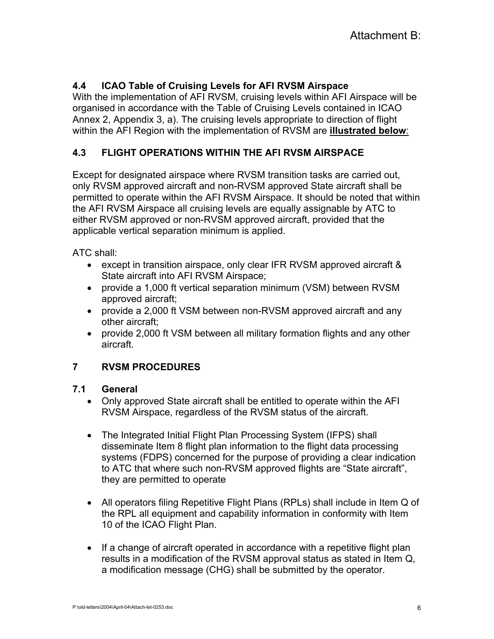#### **4.4 ICAO Table of Cruising Levels for AFI RVSM Airspace**

With the implementation of AFI RVSM, cruising levels within AFI Airspace will be organised in accordance with the Table of Cruising Levels contained in ICAO Annex 2, Appendix 3, a). The cruising levels appropriate to direction of flight within the AFI Region with the implementation of RVSM are **illustrated below**:

#### **4.3 FLIGHT OPERATIONS WITHIN THE AFI RVSM AIRSPACE**

Except for designated airspace where RVSM transition tasks are carried out, only RVSM approved aircraft and non-RVSM approved State aircraft shall be permitted to operate within the AFI RVSM Airspace. It should be noted that within the AFI RVSM Airspace all cruising levels are equally assignable by ATC to either RVSM approved or non-RVSM approved aircraft, provided that the applicable vertical separation minimum is applied.

ATC shall:

- except in transition airspace, only clear IFR RVSM approved aircraft & State aircraft into AFI RVSM Airspace;
- provide a 1,000 ft vertical separation minimum (VSM) between RVSM approved aircraft;
- provide a 2,000 ft VSM between non-RVSM approved aircraft and any other aircraft;
- provide 2,000 ft VSM between all military formation flights and any other aircraft.

#### **7 RVSM PROCEDURES**

#### **7.1 General**

- Only approved State aircraft shall be entitled to operate within the AFI RVSM Airspace, regardless of the RVSM status of the aircraft.
- The Integrated Initial Flight Plan Processing System (IFPS) shall disseminate Item 8 flight plan information to the flight data processing systems (FDPS) concerned for the purpose of providing a clear indication to ATC that where such non-RVSM approved flights are "State aircraft", they are permitted to operate
- All operators filing Repetitive Flight Plans (RPLs) shall include in Item Q of the RPL all equipment and capability information in conformity with Item 10 of the ICAO Flight Plan.
- If a change of aircraft operated in accordance with a repetitive flight plan results in a modification of the RVSM approval status as stated in Item Q, a modification message (CHG) shall be submitted by the operator.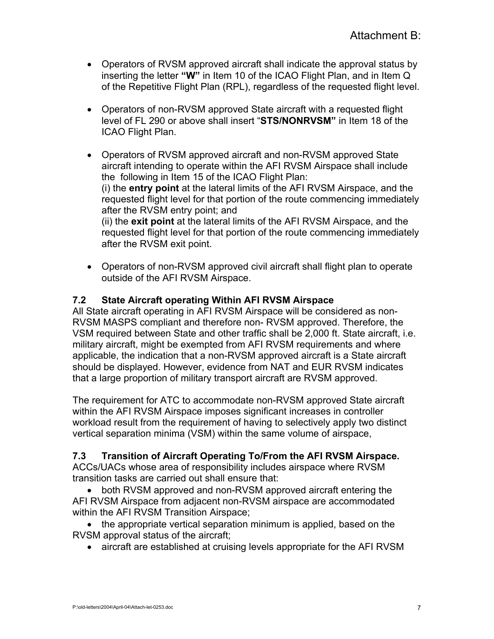- Operators of RVSM approved aircraft shall indicate the approval status by inserting the letter **"W"** in Item 10 of the ICAO Flight Plan, and in Item Q of the Repetitive Flight Plan (RPL), regardless of the requested flight level.
- Operators of non-RVSM approved State aircraft with a requested flight level of FL 290 or above shall insert "**STS/NONRVSM"** in Item 18 of the ICAO Flight Plan.
- Operators of RVSM approved aircraft and non-RVSM approved State aircraft intending to operate within the AFI RVSM Airspace shall include the following in Item 15 of the ICAO Flight Plan: (i) the **entry point** at the lateral limits of the AFI RVSM Airspace, and the requested flight level for that portion of the route commencing immediately after the RVSM entry point; and (ii) the **exit point** at the lateral limits of the AFI RVSM Airspace, and the requested flight level for that portion of the route commencing immediately after the RVSM exit point.
- Operators of non-RVSM approved civil aircraft shall flight plan to operate outside of the AFI RVSM Airspace.

#### **7.2 State Aircraft operating Within AFI RVSM Airspace**

All State aircraft operating in AFI RVSM Airspace will be considered as non-RVSM MASPS compliant and therefore non- RVSM approved. Therefore, the VSM required between State and other traffic shall be 2,000 ft. State aircraft, i.e. military aircraft, might be exempted from AFI RVSM requirements and where applicable, the indication that a non-RVSM approved aircraft is a State aircraft should be displayed. However, evidence from NAT and EUR RVSM indicates that a large proportion of military transport aircraft are RVSM approved.

The requirement for ATC to accommodate non-RVSM approved State aircraft within the AFI RVSM Airspace imposes significant increases in controller workload result from the requirement of having to selectively apply two distinct vertical separation minima (VSM) within the same volume of airspace,

#### **7.3 Transition of Aircraft Operating To/From the AFI RVSM Airspace.**

ACCs/UACs whose area of responsibility includes airspace where RVSM transition tasks are carried out shall ensure that:

• both RVSM approved and non-RVSM approved aircraft entering the AFI RVSM Airspace from adjacent non-RVSM airspace are accommodated within the AFI RVSM Transition Airspace;

• the appropriate vertical separation minimum is applied, based on the RVSM approval status of the aircraft;

• aircraft are established at cruising levels appropriate for the AFI RVSM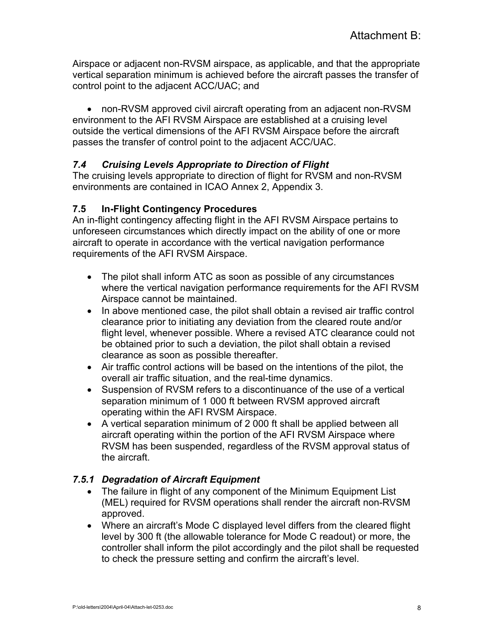Airspace or adjacent non-RVSM airspace, as applicable, and that the appropriate vertical separation minimum is achieved before the aircraft passes the transfer of control point to the adjacent ACC/UAC; and

• non-RVSM approved civil aircraft operating from an adjacent non-RVSM environment to the AFI RVSM Airspace are established at a cruising level outside the vertical dimensions of the AFI RVSM Airspace before the aircraft passes the transfer of control point to the adjacent ACC/UAC.

#### *7.4 Cruising Levels Appropriate to Direction of Flight*

The cruising levels appropriate to direction of flight for RVSM and non-RVSM environments are contained in ICAO Annex 2, Appendix 3.

#### **7.5 In-Flight Contingency Procedures**

An in-flight contingency affecting flight in the AFI RVSM Airspace pertains to unforeseen circumstances which directly impact on the ability of one or more aircraft to operate in accordance with the vertical navigation performance requirements of the AFI RVSM Airspace.

- The pilot shall inform ATC as soon as possible of any circumstances where the vertical navigation performance requirements for the AFI RVSM Airspace cannot be maintained.
- In above mentioned case, the pilot shall obtain a revised air traffic control clearance prior to initiating any deviation from the cleared route and/or flight level, whenever possible. Where a revised ATC clearance could not be obtained prior to such a deviation, the pilot shall obtain a revised clearance as soon as possible thereafter.
- Air traffic control actions will be based on the intentions of the pilot, the overall air traffic situation, and the real-time dynamics.
- Suspension of RVSM refers to a discontinuance of the use of a vertical separation minimum of 1 000 ft between RVSM approved aircraft operating within the AFI RVSM Airspace.
- A vertical separation minimum of 2 000 ft shall be applied between all aircraft operating within the portion of the AFI RVSM Airspace where RVSM has been suspended, regardless of the RVSM approval status of the aircraft.

#### *7.5.1 Degradation of Aircraft Equipment*

- The failure in flight of any component of the Minimum Equipment List (MEL) required for RVSM operations shall render the aircraft non-RVSM approved.
- Where an aircraft's Mode C displayed level differs from the cleared flight level by 300 ft (the allowable tolerance for Mode C readout) or more, the controller shall inform the pilot accordingly and the pilot shall be requested to check the pressure setting and confirm the aircraft's level.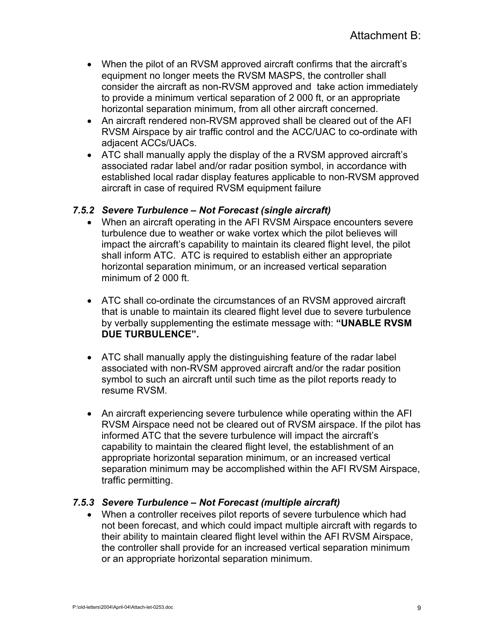- When the pilot of an RVSM approved aircraft confirms that the aircraft's equipment no longer meets the RVSM MASPS, the controller shall consider the aircraft as non-RVSM approved and take action immediately to provide a minimum vertical separation of 2 000 ft, or an appropriate horizontal separation minimum, from all other aircraft concerned.
- An aircraft rendered non-RVSM approved shall be cleared out of the AFI RVSM Airspace by air traffic control and the ACC/UAC to co-ordinate with adjacent ACCs/UACs.
- ATC shall manually apply the display of the a RVSM approved aircraft's associated radar label and/or radar position symbol, in accordance with established local radar display features applicable to non-RVSM approved aircraft in case of required RVSM equipment failure

#### *7.5.2 Severe Turbulence – Not Forecast (single aircraft)*

- When an aircraft operating in the AFI RVSM Airspace encounters severe turbulence due to weather or wake vortex which the pilot believes will impact the aircraft's capability to maintain its cleared flight level, the pilot shall inform ATC. ATC is required to establish either an appropriate horizontal separation minimum, or an increased vertical separation minimum of 2 000 ft.
- ATC shall co-ordinate the circumstances of an RVSM approved aircraft that is unable to maintain its cleared flight level due to severe turbulence by verbally supplementing the estimate message with: **"UNABLE RVSM DUE TURBULENCE".**
- ATC shall manually apply the distinguishing feature of the radar label associated with non-RVSM approved aircraft and/or the radar position symbol to such an aircraft until such time as the pilot reports ready to resume RVSM.
- An aircraft experiencing severe turbulence while operating within the AFI RVSM Airspace need not be cleared out of RVSM airspace. If the pilot has informed ATC that the severe turbulence will impact the aircraft's capability to maintain the cleared flight level, the establishment of an appropriate horizontal separation minimum, or an increased vertical separation minimum may be accomplished within the AFI RVSM Airspace, traffic permitting.

#### *7.5.3 Severe Turbulence – Not Forecast (multiple aircraft)*

• When a controller receives pilot reports of severe turbulence which had not been forecast, and which could impact multiple aircraft with regards to their ability to maintain cleared flight level within the AFI RVSM Airspace, the controller shall provide for an increased vertical separation minimum or an appropriate horizontal separation minimum.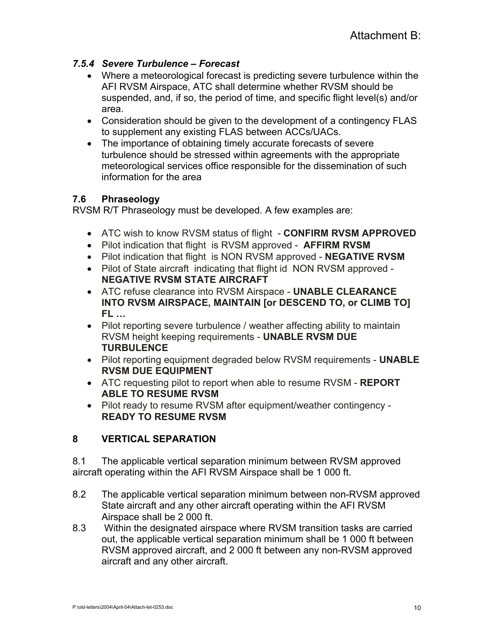#### *7.5.4 Severe Turbulence – Forecast*

- Where a meteorological forecast is predicting severe turbulence within the AFI RVSM Airspace, ATC shall determine whether RVSM should be suspended, and, if so, the period of time, and specific flight level(s) and/or area.
- Consideration should be given to the development of a contingency FLAS to supplement any existing FLAS between ACCs/UACs.
- The importance of obtaining timely accurate forecasts of severe turbulence should be stressed within agreements with the appropriate meteorological services office responsible for the dissemination of such information for the area

#### **7.6 Phraseology**

RVSM R/T Phraseology must be developed. A few examples are:

- ATC wish to know RVSM status of flight **CONFIRM RVSM APPROVED**
- Pilot indication that flight is RVSM approved **AFFIRM RVSM**
- Pilot indication that flight is NON RVSM approved **NEGATIVE RVSM**
- Pilot of State aircraft indicating that flight id NON RVSM approved **NEGATIVE RVSM STATE AIRCRAFT**
- ATC refuse clearance into RVSM Airspace **UNABLE CLEARANCE INTO RVSM AIRSPACE, MAINTAIN [or DESCEND TO, or CLIMB TO] FL …**
- Pilot reporting severe turbulence / weather affecting ability to maintain RVSM height keeping requirements - **UNABLE RVSM DUE TURBULENCE**
- Pilot reporting equipment degraded below RVSM requirements **UNABLE RVSM DUE EQUIPMENT**
- ATC requesting pilot to report when able to resume RVSM **REPORT ABLE TO RESUME RVSM**
- Pilot ready to resume RVSM after equipment/weather contingency **READY TO RESUME RVSM**

#### **8 VERTICAL SEPARATION**

8.1 The applicable vertical separation minimum between RVSM approved aircraft operating within the AFI RVSM Airspace shall be 1 000 ft.

- 8.2 The applicable vertical separation minimum between non-RVSM approved State aircraft and any other aircraft operating within the AFI RVSM Airspace shall be 2 000 ft.
- 8.3 Within the designated airspace where RVSM transition tasks are carried out, the applicable vertical separation minimum shall be 1 000 ft between RVSM approved aircraft, and 2 000 ft between any non-RVSM approved aircraft and any other aircraft.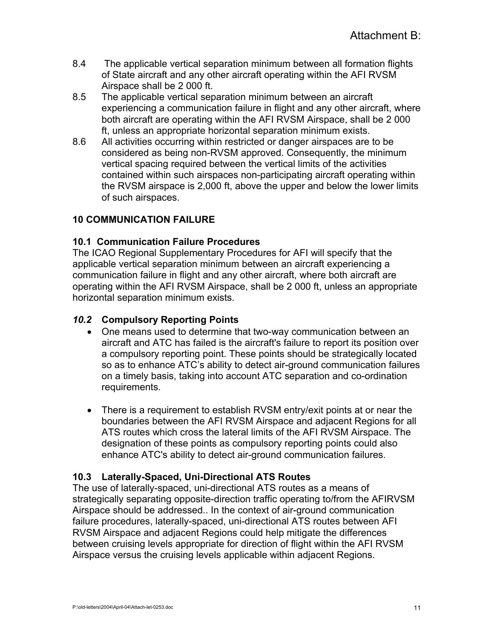- 8.4 The applicable vertical separation minimum between all formation flights of State aircraft and any other aircraft operating within the AFI RVSM Airspace shall be 2 000 ft.
- 8.5 The applicable vertical separation minimum between an aircraft experiencing a communication failure in flight and any other aircraft, where both aircraft are operating within the AFI RVSM Airspace, shall be 2 000 ft, unless an appropriate horizontal separation minimum exists.
- 8.6 All activities occurring within restricted or danger airspaces are to be considered as being non-RVSM approved. Consequently, the minimum vertical spacing required between the vertical limits of the activities contained within such airspaces non-participating aircraft operating within the RVSM airspace is 2,000 ft, above the upper and below the lower limits of such airspaces.

#### **10 COMMUNICATION FAILURE**

#### **10.1 Communication Failure Procedures**

The ICAO Regional Supplementary Procedures for AFI will specify that the applicable vertical separation minimum between an aircraft experiencing a communication failure in flight and any other aircraft, where both aircraft are operating within the AFI RVSM Airspace, shall be 2 000 ft, unless an appropriate horizontal separation minimum exists.

#### *10.2* **Compulsory Reporting Points**

- One means used to determine that two-way communication between an aircraft and ATC has failed is the aircraft's failure to report its position over a compulsory reporting point. These points should be strategically located so as to enhance ATC's ability to detect air-ground communication failures on a timely basis, taking into account ATC separation and co-ordination requirements.
- There is a requirement to establish RVSM entry/exit points at or near the boundaries between the AFI RVSM Airspace and adjacent Regions for all ATS routes which cross the lateral limits of the AFI RVSM Airspace. The designation of these points as compulsory reporting points could also enhance ATC's ability to detect air-ground communication failures.

#### **10.3 Laterally-Spaced, Uni-Directional ATS Routes**

The use of laterally-spaced, uni-directional ATS routes as a means of strategically separating opposite-direction traffic operating to/from the AFIRVSM Airspace should be addressed.. In the context of air-ground communication failure procedures, laterally-spaced, uni-directional ATS routes between AFI RVSM Airspace and adjacent Regions could help mitigate the differences between cruising levels appropriate for direction of flight within the AFI RVSM Airspace versus the cruising levels applicable within adjacent Regions.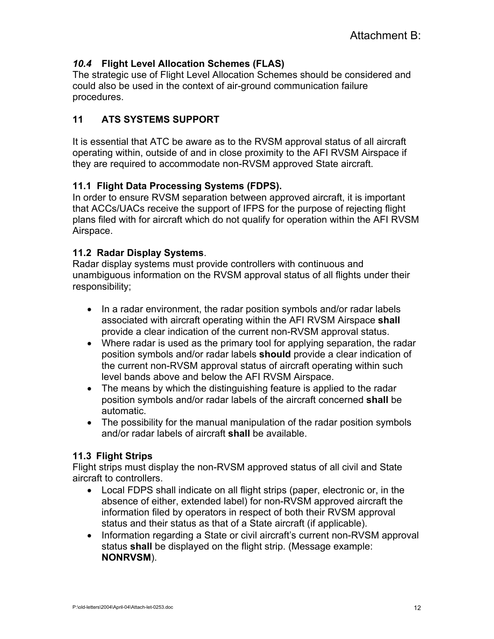#### *10.4* **Flight Level Allocation Schemes (FLAS)**

The strategic use of Flight Level Allocation Schemes should be considered and could also be used in the context of air-ground communication failure procedures.

#### **11 ATS SYSTEMS SUPPORT**

It is essential that ATC be aware as to the RVSM approval status of all aircraft operating within, outside of and in close proximity to the AFI RVSM Airspace if they are required to accommodate non-RVSM approved State aircraft.

#### **11.1 Flight Data Processing Systems (FDPS).**

In order to ensure RVSM separation between approved aircraft, it is important that ACCs/UACs receive the support of IFPS for the purpose of rejecting flight plans filed with for aircraft which do not qualify for operation within the AFI RVSM Airspace.

#### **11.2 Radar Display Systems**.

Radar display systems must provide controllers with continuous and unambiguous information on the RVSM approval status of all flights under their responsibility;

- In a radar environment, the radar position symbols and/or radar labels associated with aircraft operating within the AFI RVSM Airspace **shall**  provide a clear indication of the current non-RVSM approval status.
- Where radar is used as the primary tool for applying separation, the radar position symbols and/or radar labels **should** provide a clear indication of the current non-RVSM approval status of aircraft operating within such level bands above and below the AFI RVSM Airspace.
- The means by which the distinguishing feature is applied to the radar position symbols and/or radar labels of the aircraft concerned **shall** be automatic.
- The possibility for the manual manipulation of the radar position symbols and/or radar labels of aircraft **shall** be available.

#### **11.3 Flight Strips**

Flight strips must display the non-RVSM approved status of all civil and State aircraft to controllers.

- Local FDPS shall indicate on all flight strips (paper, electronic or, in the absence of either, extended label) for non-RVSM approved aircraft the information filed by operators in respect of both their RVSM approval status and their status as that of a State aircraft (if applicable).
- Information regarding a State or civil aircraft's current non-RVSM approval status **shall** be displayed on the flight strip. (Message example: **NONRVSM**).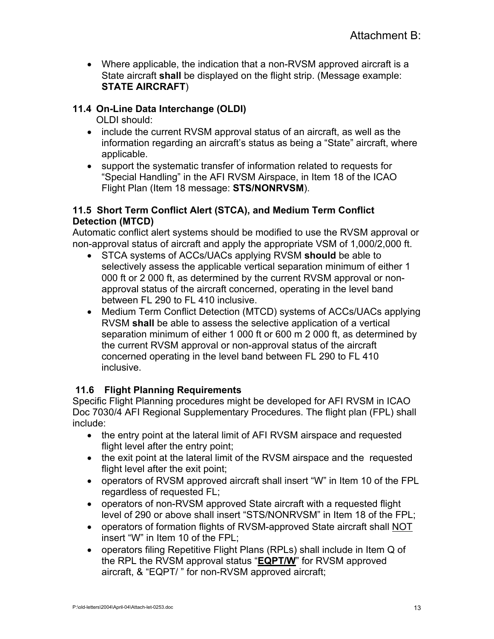• Where applicable, the indication that a non-RVSM approved aircraft is a State aircraft **shall** be displayed on the flight strip. (Message example: **STATE AIRCRAFT**)

#### **11.4 On-Line Data Interchange (OLDI)**

OLDI should:

- include the current RVSM approval status of an aircraft, as well as the information regarding an aircraft's status as being a "State" aircraft, where applicable.
- support the systematic transfer of information related to requests for "Special Handling" in the AFI RVSM Airspace, in Item 18 of the ICAO Flight Plan (Item 18 message: **STS/NONRVSM**).

#### **11.5 Short Term Conflict Alert (STCA), and Medium Term Conflict Detection (MTCD)**

Automatic conflict alert systems should be modified to use the RVSM approval or non-approval status of aircraft and apply the appropriate VSM of 1,000/2,000 ft.

- STCA systems of ACCs/UACs applying RVSM **should** be able to selectively assess the applicable vertical separation minimum of either 1 000 ft or 2 000 ft, as determined by the current RVSM approval or nonapproval status of the aircraft concerned, operating in the level band between FL 290 to FL 410 inclusive.
- Medium Term Conflict Detection (MTCD) systems of ACCs/UACs applying RVSM **shall** be able to assess the selective application of a vertical separation minimum of either 1 000 ft or 600 m 2 000 ft, as determined by the current RVSM approval or non-approval status of the aircraft concerned operating in the level band between FL 290 to FL 410 inclusive.

#### **11.6 Flight Planning Requirements**

Specific Flight Planning procedures might be developed for AFI RVSM in ICAO Doc 7030/4 AFI Regional Supplementary Procedures. The flight plan (FPL) shall include:

- the entry point at the lateral limit of AFI RVSM airspace and requested flight level after the entry point;
- the exit point at the lateral limit of the RVSM airspace and the requested flight level after the exit point;
- operators of RVSM approved aircraft shall insert "W" in Item 10 of the FPL regardless of requested FL;
- operators of non-RVSM approved State aircraft with a requested flight level of 290 or above shall insert "STS/NONRVSM" in Item 18 of the FPL;
- operators of formation flights of RVSM-approved State aircraft shall NOT insert "W" in Item 10 of the FPL;
- operators filing Repetitive Flight Plans (RPLs) shall include in Item Q of the RPL the RVSM approval status "**EQPT/W**" for RVSM approved aircraft, & "EQPT/ " for non-RVSM approved aircraft;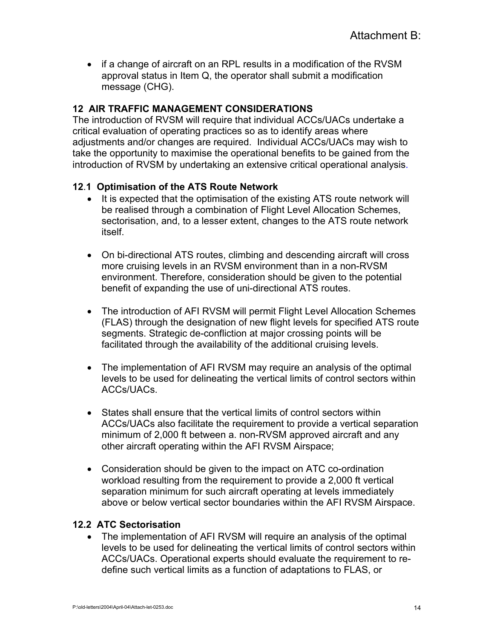• if a change of aircraft on an RPL results in a modification of the RVSM approval status in Item Q, the operator shall submit a modification message (CHG).

#### **12 AIR TRAFFIC MANAGEMENT CONSIDERATIONS**

The introduction of RVSM will require that individual ACCs/UACs undertake a critical evaluation of operating practices so as to identify areas where adjustments and/or changes are required. Individual ACCs/UACs may wish to take the opportunity to maximise the operational benefits to be gained from the introduction of RVSM by undertaking an extensive critical operational analysis.

#### **12**.**1 Optimisation of the ATS Route Network**

- It is expected that the optimisation of the existing ATS route network will be realised through a combination of Flight Level Allocation Schemes, sectorisation, and, to a lesser extent, changes to the ATS route network itself.
- On bi-directional ATS routes, climbing and descending aircraft will cross more cruising levels in an RVSM environment than in a non-RVSM environment. Therefore, consideration should be given to the potential benefit of expanding the use of uni-directional ATS routes.
- The introduction of AFI RVSM will permit Flight Level Allocation Schemes (FLAS) through the designation of new flight levels for specified ATS route segments. Strategic de-confliction at major crossing points will be facilitated through the availability of the additional cruising levels.
- The implementation of AFI RVSM may require an analysis of the optimal levels to be used for delineating the vertical limits of control sectors within ACCs/UACs.
- States shall ensure that the vertical limits of control sectors within ACCs/UACs also facilitate the requirement to provide a vertical separation minimum of 2,000 ft between a. non-RVSM approved aircraft and any other aircraft operating within the AFI RVSM Airspace;
- Consideration should be given to the impact on ATC co-ordination workload resulting from the requirement to provide a 2,000 ft vertical separation minimum for such aircraft operating at levels immediately above or below vertical sector boundaries within the AFI RVSM Airspace.

#### **12.2 ATC Sectorisation**

• The implementation of AFI RVSM will require an analysis of the optimal levels to be used for delineating the vertical limits of control sectors within ACCs/UACs. Operational experts should evaluate the requirement to redefine such vertical limits as a function of adaptations to FLAS, or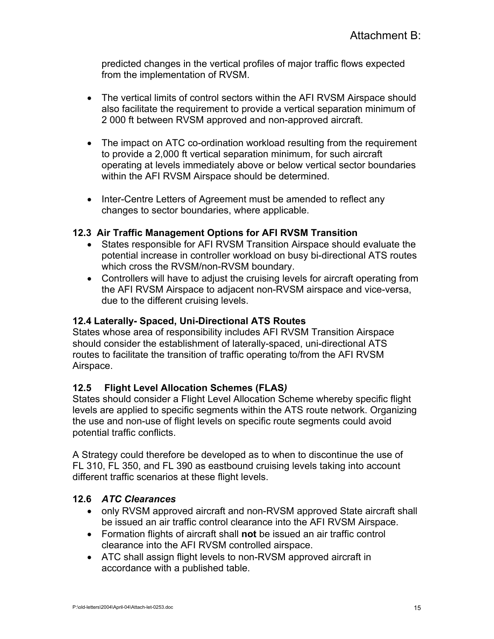predicted changes in the vertical profiles of major traffic flows expected from the implementation of RVSM.

- The vertical limits of control sectors within the AFI RVSM Airspace should also facilitate the requirement to provide a vertical separation minimum of 2 000 ft between RVSM approved and non-approved aircraft.
- The impact on ATC co-ordination workload resulting from the requirement to provide a 2,000 ft vertical separation minimum, for such aircraft operating at levels immediately above or below vertical sector boundaries within the AFI RVSM Airspace should be determined.
- Inter-Centre Letters of Agreement must be amended to reflect any changes to sector boundaries, where applicable.

#### **12.3 Air Traffic Management Options for AFI RVSM Transition**

- States responsible for AFI RVSM Transition Airspace should evaluate the potential increase in controller workload on busy bi-directional ATS routes which cross the RVSM/non-RVSM boundary.
- Controllers will have to adjust the cruising levels for aircraft operating from the AFI RVSM Airspace to adjacent non-RVSM airspace and vice-versa, due to the different cruising levels.

#### **12.4 Laterally- Spaced, Uni-Directional ATS Routes**

States whose area of responsibility includes AFI RVSM Transition Airspace should consider the establishment of laterally-spaced, uni-directional ATS routes to facilitate the transition of traffic operating to/from the AFI RVSM Airspace.

#### **12.5 Flight Level Allocation Schemes (FLAS***)*

States should consider a Flight Level Allocation Scheme whereby specific flight levels are applied to specific segments within the ATS route network. Organizing the use and non-use of flight levels on specific route segments could avoid potential traffic conflicts.

A Strategy could therefore be developed as to when to discontinue the use of FL 310, FL 350, and FL 390 as eastbound cruising levels taking into account different traffic scenarios at these flight levels.

#### **12.6** *ATC Clearances*

- only RVSM approved aircraft and non-RVSM approved State aircraft shall be issued an air traffic control clearance into the AFI RVSM Airspace.
- Formation flights of aircraft shall **not** be issued an air traffic control clearance into the AFI RVSM controlled airspace.
- ATC shall assign flight levels to non-RVSM approved aircraft in accordance with a published table.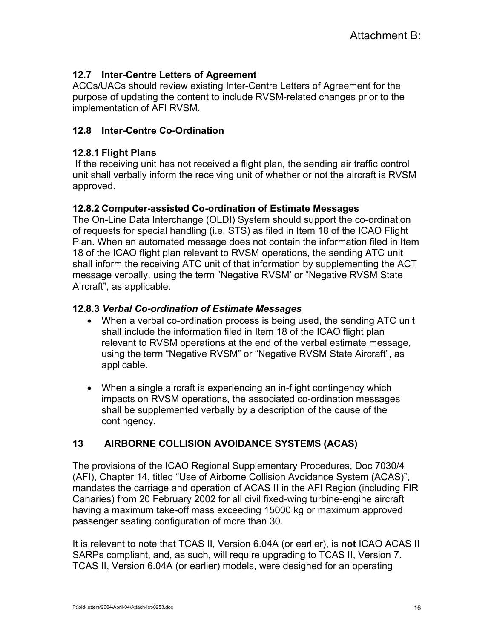#### **12.7 Inter-Centre Letters of Agreement**

ACCs/UACs should review existing Inter-Centre Letters of Agreement for the purpose of updating the content to include RVSM-related changes prior to the implementation of AFI RVSM.

#### **12.8 Inter-Centre Co-Ordination**

#### **12.8.1 Flight Plans**

If the receiving unit has not received a flight plan, the sending air traffic control unit shall verbally inform the receiving unit of whether or not the aircraft is RVSM approved.

#### **12.8.2 Computer-assisted Co-ordination of Estimate Messages**

The On-Line Data Interchange (OLDI) System should support the co-ordination of requests for special handling (i.e. STS) as filed in Item 18 of the ICAO Flight Plan. When an automated message does not contain the information filed in Item 18 of the ICAO flight plan relevant to RVSM operations, the sending ATC unit shall inform the receiving ATC unit of that information by supplementing the ACT message verbally, using the term "Negative RVSM' or "Negative RVSM State Aircraft", as applicable.

#### **12.8.3** *Verbal Co-ordination of Estimate Messages*

- When a verbal co-ordination process is being used, the sending ATC unit shall include the information filed in Item 18 of the ICAO flight plan relevant to RVSM operations at the end of the verbal estimate message, using the term "Negative RVSM" or "Negative RVSM State Aircraft", as applicable.
- When a single aircraft is experiencing an in-flight contingency which impacts on RVSM operations, the associated co-ordination messages shall be supplemented verbally by a description of the cause of the contingency.

#### **13 AIRBORNE COLLISION AVOIDANCE SYSTEMS (ACAS)**

The provisions of the ICAO Regional Supplementary Procedures, Doc 7030/4 (AFI), Chapter 14, titled "Use of Airborne Collision Avoidance System (ACAS)", mandates the carriage and operation of ACAS II in the AFI Region (including FIR Canaries) from 20 February 2002 for all civil fixed-wing turbine-engine aircraft having a maximum take-off mass exceeding 15000 kg or maximum approved passenger seating configuration of more than 30.

It is relevant to note that TCAS II, Version 6.04A (or earlier), is **not** ICAO ACAS II SARPs compliant, and, as such, will require upgrading to TCAS II, Version 7. TCAS II, Version 6.04A (or earlier) models, were designed for an operating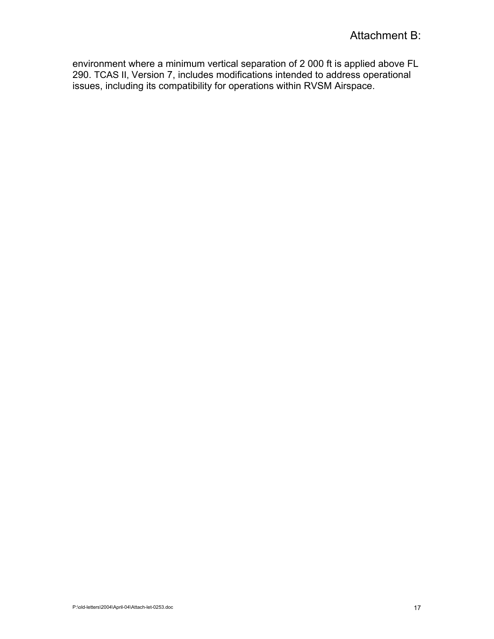environment where a minimum vertical separation of 2 000 ft is applied above FL 290. TCAS II, Version 7, includes modifications intended to address operational issues, including its compatibility for operations within RVSM Airspace.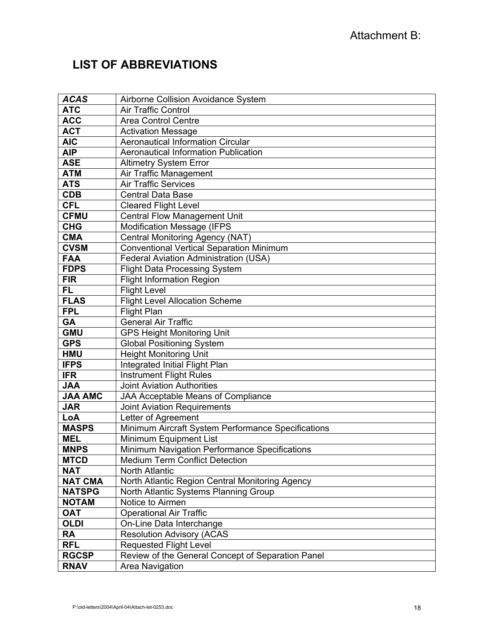# **LIST OF ABBREVIATIONS**

| <b>ACAS</b>    | Airborne Collision Avoidance System                |
|----------------|----------------------------------------------------|
| <b>ATC</b>     | <b>Air Traffic Control</b>                         |
| <b>ACC</b>     | <b>Area Control Centre</b>                         |
| <b>ACT</b>     | <b>Activation Message</b>                          |
| <b>AIC</b>     | <b>Aeronautical Information Circular</b>           |
| <b>AIP</b>     | <b>Aeronautical Information Publication</b>        |
| <b>ASE</b>     | <b>Altimetry System Error</b>                      |
| <b>ATM</b>     | Air Traffic Management                             |
| <b>ATS</b>     | <b>Air Traffic Services</b>                        |
| CDB            | <b>Central Data Base</b>                           |
| <b>CFL</b>     | <b>Cleared Flight Level</b>                        |
| <b>CFMU</b>    | <b>Central Flow Management Unit</b>                |
| <b>CHG</b>     | <b>Modification Message (IFPS</b>                  |
| <b>CMA</b>     | Central Monitoring Agency (NAT)                    |
| <b>CVSM</b>    | <b>Conventional Vertical Separation Minimum</b>    |
| <b>FAA</b>     | <b>Federal Aviation Administration (USA)</b>       |
| <b>FDPS</b>    | <b>Flight Data Processing System</b>               |
| <b>FIR</b>     | <b>Flight Information Region</b>                   |
| FL.            | <b>Flight Level</b>                                |
| <b>FLAS</b>    | <b>Flight Level Allocation Scheme</b>              |
| <b>FPL</b>     | <b>Flight Plan</b>                                 |
| <b>GA</b>      | <b>General Air Traffic</b>                         |
| <b>GMU</b>     | <b>GPS Height Monitoring Unit</b>                  |
| <b>GPS</b>     | <b>Global Positioning System</b>                   |
| <b>HMU</b>     | <b>Height Monitoring Unit</b>                      |
| <b>IFPS</b>    | Integrated Initial Flight Plan                     |
| <b>IFR</b>     | <b>Instrument Flight Rules</b>                     |
| <b>JAA</b>     | <b>Joint Aviation Authorities</b>                  |
| <b>JAA AMC</b> | <b>JAA Acceptable Means of Compliance</b>          |
| <b>JAR</b>     | <b>Joint Aviation Requirements</b>                 |
| LoA            | Letter of Agreement                                |
| <b>MASPS</b>   | Minimum Aircraft System Performance Specifications |
| <b>MEL</b>     | Minimum Equipment List                             |
| <b>MNPS</b>    | Minimum Navigation Performance Specifications      |
| <b>MTCD</b>    | <b>Medium Term Conflict Detection</b>              |
| <b>NAT</b>     | <b>North Atlantic</b>                              |
| <b>NAT CMA</b> | North Atlantic Region Central Monitoring Agency    |
| <b>NATSPG</b>  | North Atlantic Systems Planning Group              |
| <b>NOTAM</b>   | Notice to Airmen                                   |
| <b>OAT</b>     | <b>Operational Air Traffic</b>                     |
| <b>OLDI</b>    | On-Line Data Interchange                           |
| RA             | <b>Resolution Advisory (ACAS</b>                   |
| <b>RFL</b>     | <b>Requested Flight Level</b>                      |
| <b>RGCSP</b>   | Review of the General Concept of Separation Panel  |
| <b>RNAV</b>    | Area Navigation                                    |